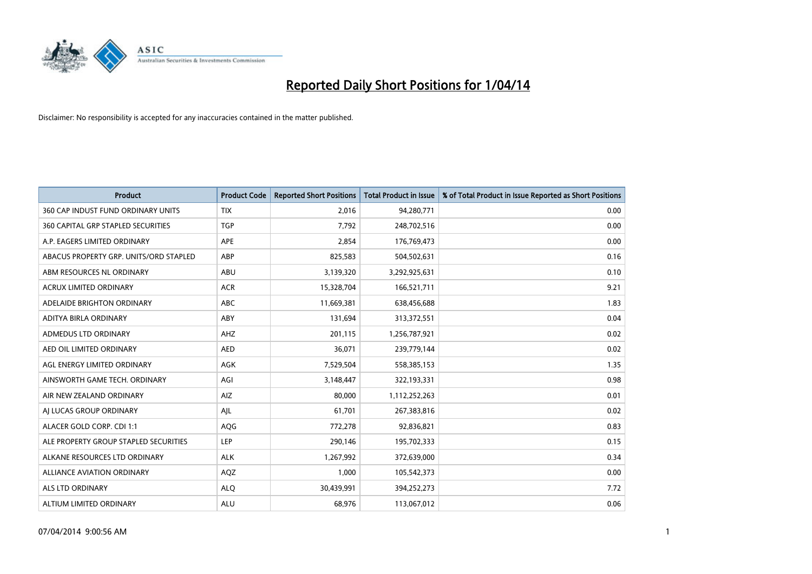

| <b>Product</b>                            | <b>Product Code</b> | <b>Reported Short Positions</b> | <b>Total Product in Issue</b> | % of Total Product in Issue Reported as Short Positions |
|-------------------------------------------|---------------------|---------------------------------|-------------------------------|---------------------------------------------------------|
| 360 CAP INDUST FUND ORDINARY UNITS        | <b>TIX</b>          | 2,016                           | 94,280,771                    | 0.00                                                    |
| <b>360 CAPITAL GRP STAPLED SECURITIES</b> | <b>TGP</b>          | 7,792                           | 248,702,516                   | 0.00                                                    |
| A.P. EAGERS LIMITED ORDINARY              | APE                 | 2,854                           | 176,769,473                   | 0.00                                                    |
| ABACUS PROPERTY GRP. UNITS/ORD STAPLED    | ABP                 | 825,583                         | 504,502,631                   | 0.16                                                    |
| ABM RESOURCES NL ORDINARY                 | ABU                 | 3,139,320                       | 3,292,925,631                 | 0.10                                                    |
| ACRUX LIMITED ORDINARY                    | <b>ACR</b>          | 15,328,704                      | 166,521,711                   | 9.21                                                    |
| ADELAIDE BRIGHTON ORDINARY                | ABC                 | 11,669,381                      | 638,456,688                   | 1.83                                                    |
| ADITYA BIRLA ORDINARY                     | ABY                 | 131,694                         | 313,372,551                   | 0.04                                                    |
| ADMEDUS LTD ORDINARY                      | AHZ                 | 201,115                         | 1,256,787,921                 | 0.02                                                    |
| AED OIL LIMITED ORDINARY                  | <b>AED</b>          | 36,071                          | 239,779,144                   | 0.02                                                    |
| AGL ENERGY LIMITED ORDINARY               | AGK                 | 7,529,504                       | 558,385,153                   | 1.35                                                    |
| AINSWORTH GAME TECH. ORDINARY             | AGI                 | 3,148,447                       | 322,193,331                   | 0.98                                                    |
| AIR NEW ZEALAND ORDINARY                  | AIZ                 | 80,000                          | 1,112,252,263                 | 0.01                                                    |
| AI LUCAS GROUP ORDINARY                   | AJL                 | 61,701                          | 267,383,816                   | 0.02                                                    |
| ALACER GOLD CORP. CDI 1:1                 | AQG                 | 772,278                         | 92,836,821                    | 0.83                                                    |
| ALE PROPERTY GROUP STAPLED SECURITIES     | LEP                 | 290,146                         | 195,702,333                   | 0.15                                                    |
| ALKANE RESOURCES LTD ORDINARY             | <b>ALK</b>          | 1,267,992                       | 372,639,000                   | 0.34                                                    |
| ALLIANCE AVIATION ORDINARY                | AQZ                 | 1,000                           | 105,542,373                   | 0.00                                                    |
| ALS LTD ORDINARY                          | <b>ALQ</b>          | 30,439,991                      | 394,252,273                   | 7.72                                                    |
| ALTIUM LIMITED ORDINARY                   | <b>ALU</b>          | 68,976                          | 113,067,012                   | 0.06                                                    |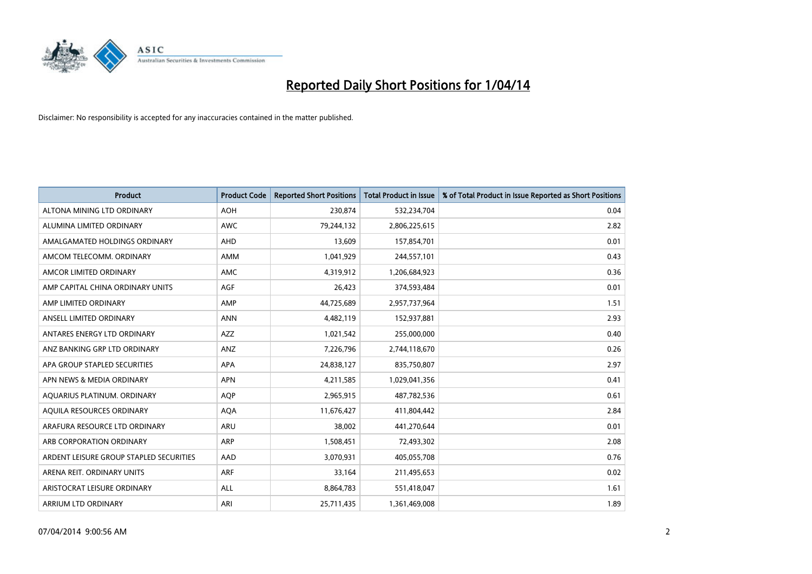

| <b>Product</b>                          | <b>Product Code</b> | <b>Reported Short Positions</b> | <b>Total Product in Issue</b> | % of Total Product in Issue Reported as Short Positions |
|-----------------------------------------|---------------------|---------------------------------|-------------------------------|---------------------------------------------------------|
| ALTONA MINING LTD ORDINARY              | <b>AOH</b>          | 230,874                         | 532,234,704                   | 0.04                                                    |
| ALUMINA LIMITED ORDINARY                | <b>AWC</b>          | 79,244,132                      | 2,806,225,615                 | 2.82                                                    |
| AMALGAMATED HOLDINGS ORDINARY           | <b>AHD</b>          | 13,609                          | 157,854,701                   | 0.01                                                    |
| AMCOM TELECOMM. ORDINARY                | AMM                 | 1,041,929                       | 244,557,101                   | 0.43                                                    |
| AMCOR LIMITED ORDINARY                  | AMC                 | 4,319,912                       | 1,206,684,923                 | 0.36                                                    |
| AMP CAPITAL CHINA ORDINARY UNITS        | <b>AGF</b>          | 26,423                          | 374,593,484                   | 0.01                                                    |
| AMP LIMITED ORDINARY                    | AMP                 | 44,725,689                      | 2,957,737,964                 | 1.51                                                    |
| ANSELL LIMITED ORDINARY                 | <b>ANN</b>          | 4,482,119                       | 152,937,881                   | 2.93                                                    |
| ANTARES ENERGY LTD ORDINARY             | <b>AZZ</b>          | 1,021,542                       | 255,000,000                   | 0.40                                                    |
| ANZ BANKING GRP LTD ORDINARY            | ANZ                 | 7,226,796                       | 2,744,118,670                 | 0.26                                                    |
| APA GROUP STAPLED SECURITIES            | APA                 | 24,838,127                      | 835,750,807                   | 2.97                                                    |
| APN NEWS & MEDIA ORDINARY               | <b>APN</b>          | 4,211,585                       | 1,029,041,356                 | 0.41                                                    |
| AQUARIUS PLATINUM. ORDINARY             | <b>AOP</b>          | 2,965,915                       | 487,782,536                   | 0.61                                                    |
| AQUILA RESOURCES ORDINARY               | <b>AQA</b>          | 11,676,427                      | 411,804,442                   | 2.84                                                    |
| ARAFURA RESOURCE LTD ORDINARY           | <b>ARU</b>          | 38,002                          | 441,270,644                   | 0.01                                                    |
| ARB CORPORATION ORDINARY                | ARP                 | 1,508,451                       | 72,493,302                    | 2.08                                                    |
| ARDENT LEISURE GROUP STAPLED SECURITIES | AAD                 | 3,070,931                       | 405,055,708                   | 0.76                                                    |
| ARENA REIT. ORDINARY UNITS              | <b>ARF</b>          | 33,164                          | 211,495,653                   | 0.02                                                    |
| ARISTOCRAT LEISURE ORDINARY             | ALL                 | 8,864,783                       | 551,418,047                   | 1.61                                                    |
| ARRIUM LTD ORDINARY                     | ARI                 | 25,711,435                      | 1,361,469,008                 | 1.89                                                    |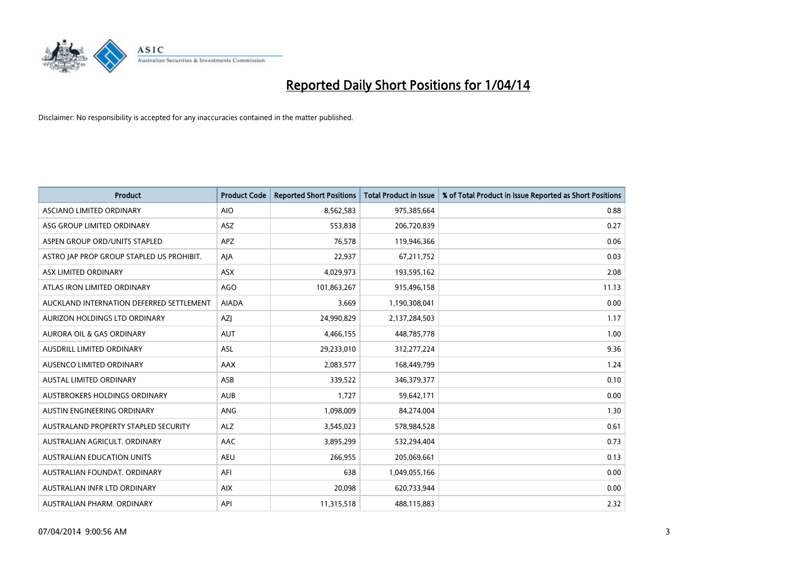

| <b>Product</b>                            | <b>Product Code</b> | <b>Reported Short Positions</b> | <b>Total Product in Issue</b> | % of Total Product in Issue Reported as Short Positions |
|-------------------------------------------|---------------------|---------------------------------|-------------------------------|---------------------------------------------------------|
| <b>ASCIANO LIMITED ORDINARY</b>           | <b>AIO</b>          | 8,562,583                       | 975,385,664                   | 0.88                                                    |
| ASG GROUP LIMITED ORDINARY                | ASZ                 | 553,838                         | 206,720,839                   | 0.27                                                    |
| ASPEN GROUP ORD/UNITS STAPLED             | <b>APZ</b>          | 76,578                          | 119,946,366                   | 0.06                                                    |
| ASTRO JAP PROP GROUP STAPLED US PROHIBIT. | AJA                 | 22,937                          | 67,211,752                    | 0.03                                                    |
| ASX LIMITED ORDINARY                      | ASX                 | 4,029,973                       | 193,595,162                   | 2.08                                                    |
| ATLAS IRON LIMITED ORDINARY               | <b>AGO</b>          | 101,863,267                     | 915,496,158                   | 11.13                                                   |
| AUCKLAND INTERNATION DEFERRED SETTLEMENT  | <b>AIADA</b>        | 3,669                           | 1,190,308,041                 | 0.00                                                    |
| AURIZON HOLDINGS LTD ORDINARY             | AZJ                 | 24,990,829                      | 2,137,284,503                 | 1.17                                                    |
| <b>AURORA OIL &amp; GAS ORDINARY</b>      | <b>AUT</b>          | 4,466,155                       | 448,785,778                   | 1.00                                                    |
| AUSDRILL LIMITED ORDINARY                 | ASL                 | 29,233,010                      | 312,277,224                   | 9.36                                                    |
| AUSENCO LIMITED ORDINARY                  | AAX                 | 2,083,577                       | 168,449,799                   | 1.24                                                    |
| <b>AUSTAL LIMITED ORDINARY</b>            | ASB                 | 339,522                         | 346, 379, 377                 | 0.10                                                    |
| AUSTBROKERS HOLDINGS ORDINARY             | <b>AUB</b>          | 1,727                           | 59,642,171                    | 0.00                                                    |
| AUSTIN ENGINEERING ORDINARY               | ANG                 | 1,098,009                       | 84,274,004                    | 1.30                                                    |
| AUSTRALAND PROPERTY STAPLED SECURITY      | <b>ALZ</b>          | 3,545,023                       | 578,984,528                   | 0.61                                                    |
| AUSTRALIAN AGRICULT. ORDINARY             | AAC                 | 3,895,299                       | 532,294,404                   | 0.73                                                    |
| <b>AUSTRALIAN EDUCATION UNITS</b>         | <b>AEU</b>          | 266,955                         | 205,069,661                   | 0.13                                                    |
| AUSTRALIAN FOUNDAT, ORDINARY              | AFI                 | 638                             | 1,049,055,166                 | 0.00                                                    |
| AUSTRALIAN INFR LTD ORDINARY              | <b>AIX</b>          | 20,098                          | 620,733,944                   | 0.00                                                    |
| AUSTRALIAN PHARM. ORDINARY                | API                 | 11,315,518                      | 488,115,883                   | 2.32                                                    |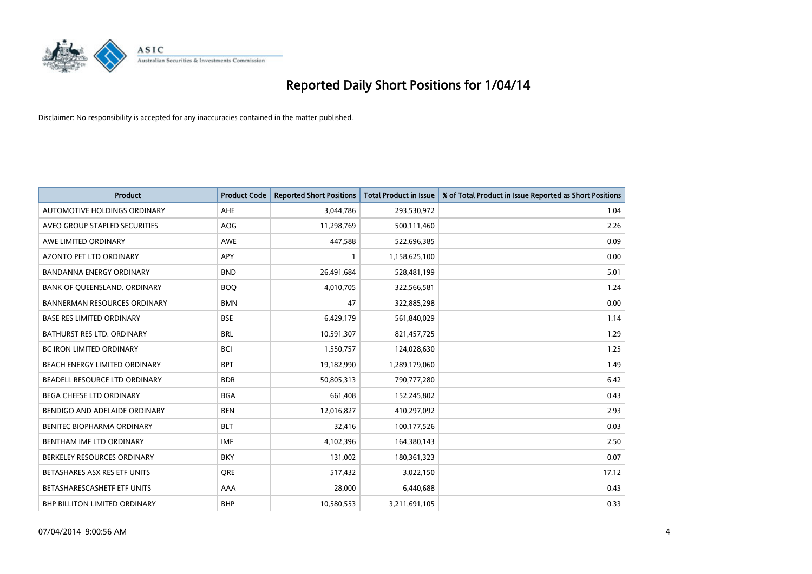

| <b>Product</b>                      | <b>Product Code</b> | <b>Reported Short Positions</b> | <b>Total Product in Issue</b> | % of Total Product in Issue Reported as Short Positions |
|-------------------------------------|---------------------|---------------------------------|-------------------------------|---------------------------------------------------------|
| AUTOMOTIVE HOLDINGS ORDINARY        | <b>AHE</b>          | 3,044,786                       | 293,530,972                   | 1.04                                                    |
| AVEO GROUP STAPLED SECURITIES       | <b>AOG</b>          | 11,298,769                      | 500,111,460                   | 2.26                                                    |
| AWE LIMITED ORDINARY                | <b>AWE</b>          | 447,588                         | 522,696,385                   | 0.09                                                    |
| AZONTO PET LTD ORDINARY             | <b>APY</b>          | 1                               | 1,158,625,100                 | 0.00                                                    |
| <b>BANDANNA ENERGY ORDINARY</b>     | <b>BND</b>          | 26,491,684                      | 528,481,199                   | 5.01                                                    |
| BANK OF QUEENSLAND. ORDINARY        | <b>BOO</b>          | 4,010,705                       | 322,566,581                   | 1.24                                                    |
| <b>BANNERMAN RESOURCES ORDINARY</b> | <b>BMN</b>          | 47                              | 322,885,298                   | 0.00                                                    |
| <b>BASE RES LIMITED ORDINARY</b>    | <b>BSE</b>          | 6,429,179                       | 561,840,029                   | 1.14                                                    |
| <b>BATHURST RES LTD. ORDINARY</b>   | <b>BRL</b>          | 10,591,307                      | 821,457,725                   | 1.29                                                    |
| <b>BC IRON LIMITED ORDINARY</b>     | <b>BCI</b>          | 1,550,757                       | 124,028,630                   | 1.25                                                    |
| BEACH ENERGY LIMITED ORDINARY       | <b>BPT</b>          | 19,182,990                      | 1,289,179,060                 | 1.49                                                    |
| BEADELL RESOURCE LTD ORDINARY       | <b>BDR</b>          | 50,805,313                      | 790,777,280                   | 6.42                                                    |
| <b>BEGA CHEESE LTD ORDINARY</b>     | <b>BGA</b>          | 661,408                         | 152,245,802                   | 0.43                                                    |
| BENDIGO AND ADELAIDE ORDINARY       | <b>BEN</b>          | 12,016,827                      | 410,297,092                   | 2.93                                                    |
| BENITEC BIOPHARMA ORDINARY          | <b>BLT</b>          | 32,416                          | 100,177,526                   | 0.03                                                    |
| BENTHAM IMF LTD ORDINARY            | <b>IMF</b>          | 4,102,396                       | 164,380,143                   | 2.50                                                    |
| BERKELEY RESOURCES ORDINARY         | <b>BKY</b>          | 131,002                         | 180,361,323                   | 0.07                                                    |
| BETASHARES ASX RES ETF UNITS        | <b>ORE</b>          | 517,432                         | 3,022,150                     | 17.12                                                   |
| BETASHARESCASHETF ETF UNITS         | AAA                 | 28,000                          | 6,440,688                     | 0.43                                                    |
| BHP BILLITON LIMITED ORDINARY       | <b>BHP</b>          | 10,580,553                      | 3,211,691,105                 | 0.33                                                    |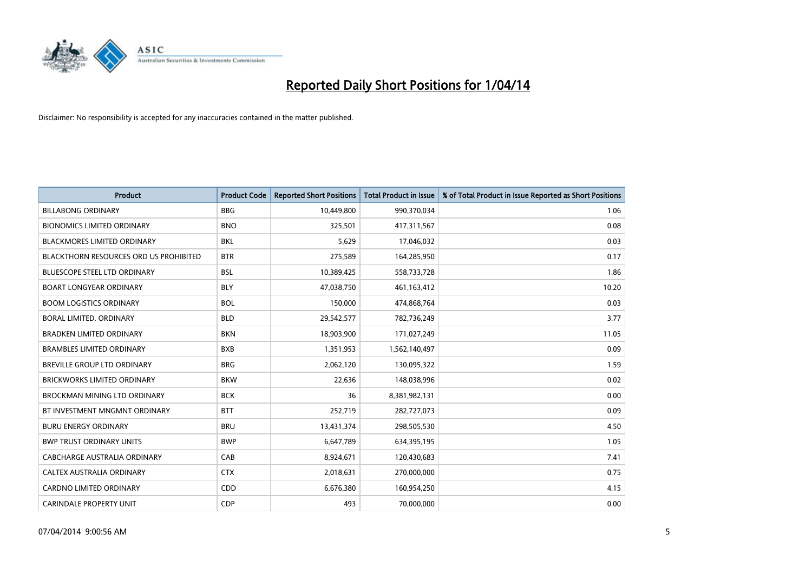

| <b>Product</b>                         | <b>Product Code</b> | <b>Reported Short Positions</b> | <b>Total Product in Issue</b> | % of Total Product in Issue Reported as Short Positions |
|----------------------------------------|---------------------|---------------------------------|-------------------------------|---------------------------------------------------------|
| <b>BILLABONG ORDINARY</b>              | <b>BBG</b>          | 10,449,800                      | 990,370,034                   | 1.06                                                    |
| <b>BIONOMICS LIMITED ORDINARY</b>      | <b>BNO</b>          | 325,501                         | 417,311,567                   | 0.08                                                    |
| <b>BLACKMORES LIMITED ORDINARY</b>     | <b>BKL</b>          | 5,629                           | 17,046,032                    | 0.03                                                    |
| BLACKTHORN RESOURCES ORD US PROHIBITED | <b>BTR</b>          | 275,589                         | 164,285,950                   | 0.17                                                    |
| <b>BLUESCOPE STEEL LTD ORDINARY</b>    | <b>BSL</b>          | 10,389,425                      | 558,733,728                   | 1.86                                                    |
| <b>BOART LONGYEAR ORDINARY</b>         | <b>BLY</b>          | 47,038,750                      | 461, 163, 412                 | 10.20                                                   |
| <b>BOOM LOGISTICS ORDINARY</b>         | <b>BOL</b>          | 150,000                         | 474,868,764                   | 0.03                                                    |
| BORAL LIMITED, ORDINARY                | <b>BLD</b>          | 29,542,577                      | 782,736,249                   | 3.77                                                    |
| <b>BRADKEN LIMITED ORDINARY</b>        | <b>BKN</b>          | 18,903,900                      | 171,027,249                   | 11.05                                                   |
| <b>BRAMBLES LIMITED ORDINARY</b>       | <b>BXB</b>          | 1,351,953                       | 1,562,140,497                 | 0.09                                                    |
| BREVILLE GROUP LTD ORDINARY            | <b>BRG</b>          | 2,062,120                       | 130,095,322                   | 1.59                                                    |
| <b>BRICKWORKS LIMITED ORDINARY</b>     | <b>BKW</b>          | 22,636                          | 148,038,996                   | 0.02                                                    |
| <b>BROCKMAN MINING LTD ORDINARY</b>    | <b>BCK</b>          | 36                              | 8,381,982,131                 | 0.00                                                    |
| BT INVESTMENT MNGMNT ORDINARY          | <b>BTT</b>          | 252,719                         | 282,727,073                   | 0.09                                                    |
| <b>BURU ENERGY ORDINARY</b>            | <b>BRU</b>          | 13,431,374                      | 298,505,530                   | 4.50                                                    |
| <b>BWP TRUST ORDINARY UNITS</b>        | <b>BWP</b>          | 6,647,789                       | 634,395,195                   | 1.05                                                    |
| CABCHARGE AUSTRALIA ORDINARY           | CAB                 | 8,924,671                       | 120,430,683                   | 7.41                                                    |
| <b>CALTEX AUSTRALIA ORDINARY</b>       | <b>CTX</b>          | 2,018,631                       | 270,000,000                   | 0.75                                                    |
| <b>CARDNO LIMITED ORDINARY</b>         | CDD                 | 6,676,380                       | 160,954,250                   | 4.15                                                    |
| <b>CARINDALE PROPERTY UNIT</b>         | <b>CDP</b>          | 493                             | 70,000,000                    | 0.00                                                    |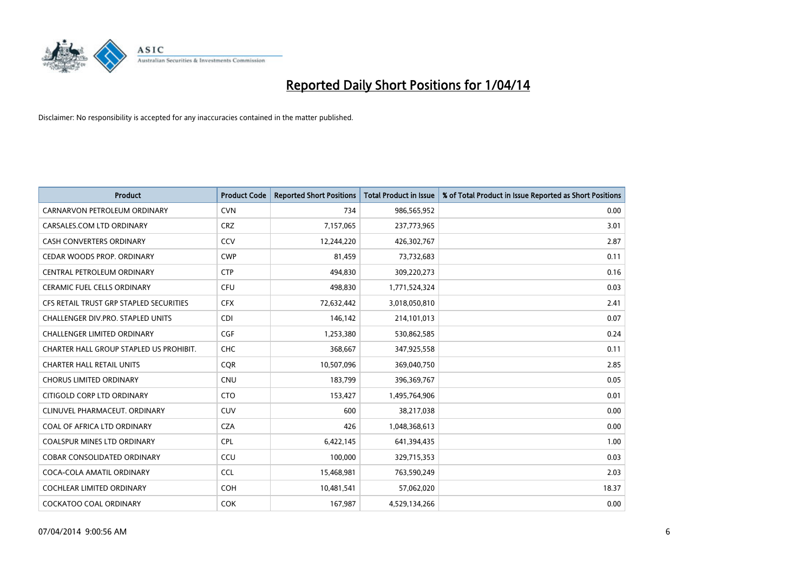

| <b>Product</b>                          | <b>Product Code</b> | <b>Reported Short Positions</b> | <b>Total Product in Issue</b> | % of Total Product in Issue Reported as Short Positions |
|-----------------------------------------|---------------------|---------------------------------|-------------------------------|---------------------------------------------------------|
| CARNARVON PETROLEUM ORDINARY            | <b>CVN</b>          | 734                             | 986,565,952                   | 0.00                                                    |
| CARSALES.COM LTD ORDINARY               | <b>CRZ</b>          | 7,157,065                       | 237,773,965                   | 3.01                                                    |
| CASH CONVERTERS ORDINARY                | CCV                 | 12,244,220                      | 426,302,767                   | 2.87                                                    |
| CEDAR WOODS PROP. ORDINARY              | <b>CWP</b>          | 81,459                          | 73,732,683                    | 0.11                                                    |
| <b>CENTRAL PETROLEUM ORDINARY</b>       | <b>CTP</b>          | 494,830                         | 309,220,273                   | 0.16                                                    |
| CERAMIC FUEL CELLS ORDINARY             | <b>CFU</b>          | 498,830                         | 1,771,524,324                 | 0.03                                                    |
| CFS RETAIL TRUST GRP STAPLED SECURITIES | <b>CFX</b>          | 72,632,442                      | 3,018,050,810                 | 2.41                                                    |
| CHALLENGER DIV.PRO. STAPLED UNITS       | <b>CDI</b>          | 146,142                         | 214,101,013                   | 0.07                                                    |
| <b>CHALLENGER LIMITED ORDINARY</b>      | <b>CGF</b>          | 1,253,380                       | 530,862,585                   | 0.24                                                    |
| CHARTER HALL GROUP STAPLED US PROHIBIT. | <b>CHC</b>          | 368,667                         | 347,925,558                   | 0.11                                                    |
| <b>CHARTER HALL RETAIL UNITS</b>        | <b>CQR</b>          | 10,507,096                      | 369,040,750                   | 2.85                                                    |
| <b>CHORUS LIMITED ORDINARY</b>          | <b>CNU</b>          | 183,799                         | 396,369,767                   | 0.05                                                    |
| CITIGOLD CORP LTD ORDINARY              | <b>CTO</b>          | 153,427                         | 1,495,764,906                 | 0.01                                                    |
| CLINUVEL PHARMACEUT, ORDINARY           | <b>CUV</b>          | 600                             | 38,217,038                    | 0.00                                                    |
| COAL OF AFRICA LTD ORDINARY             | <b>CZA</b>          | 426                             | 1,048,368,613                 | 0.00                                                    |
| <b>COALSPUR MINES LTD ORDINARY</b>      | <b>CPL</b>          | 6,422,145                       | 641,394,435                   | 1.00                                                    |
| COBAR CONSOLIDATED ORDINARY             | CCU                 | 100,000                         | 329,715,353                   | 0.03                                                    |
| COCA-COLA AMATIL ORDINARY               | <b>CCL</b>          | 15,468,981                      | 763,590,249                   | 2.03                                                    |
| <b>COCHLEAR LIMITED ORDINARY</b>        | <b>COH</b>          | 10,481,541                      | 57,062,020                    | 18.37                                                   |
| <b>COCKATOO COAL ORDINARY</b>           | <b>COK</b>          | 167,987                         | 4,529,134,266                 | 0.00                                                    |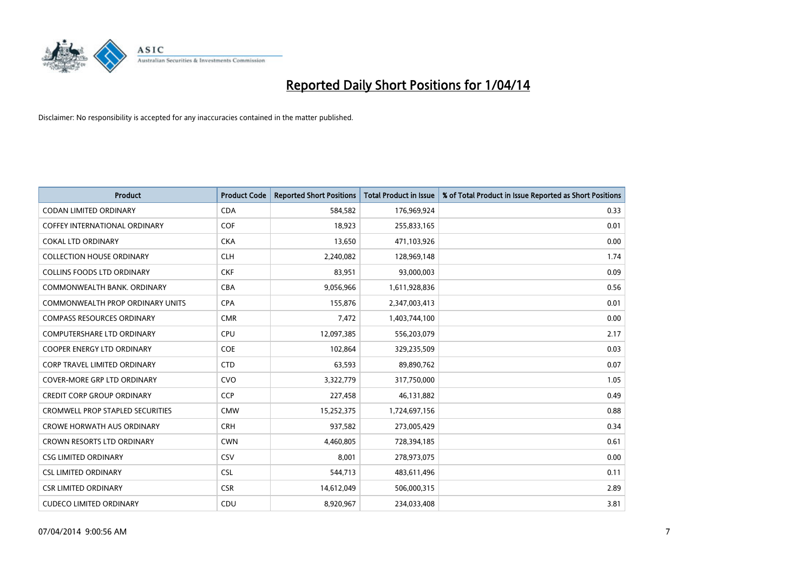

| <b>Product</b>                          | <b>Product Code</b> | <b>Reported Short Positions</b> | <b>Total Product in Issue</b> | % of Total Product in Issue Reported as Short Positions |
|-----------------------------------------|---------------------|---------------------------------|-------------------------------|---------------------------------------------------------|
| <b>CODAN LIMITED ORDINARY</b>           | <b>CDA</b>          | 584,582                         | 176,969,924                   | 0.33                                                    |
| COFFEY INTERNATIONAL ORDINARY           | <b>COF</b>          | 18,923                          | 255,833,165                   | 0.01                                                    |
| <b>COKAL LTD ORDINARY</b>               | <b>CKA</b>          | 13,650                          | 471,103,926                   | 0.00                                                    |
| <b>COLLECTION HOUSE ORDINARY</b>        | <b>CLH</b>          | 2,240,082                       | 128,969,148                   | 1.74                                                    |
| <b>COLLINS FOODS LTD ORDINARY</b>       | <b>CKF</b>          | 83,951                          | 93,000,003                    | 0.09                                                    |
| COMMONWEALTH BANK, ORDINARY             | <b>CBA</b>          | 9,056,966                       | 1,611,928,836                 | 0.56                                                    |
| COMMONWEALTH PROP ORDINARY UNITS        | <b>CPA</b>          | 155,876                         | 2,347,003,413                 | 0.01                                                    |
| <b>COMPASS RESOURCES ORDINARY</b>       | <b>CMR</b>          | 7,472                           | 1,403,744,100                 | 0.00                                                    |
| <b>COMPUTERSHARE LTD ORDINARY</b>       | <b>CPU</b>          | 12,097,385                      | 556,203,079                   | 2.17                                                    |
| <b>COOPER ENERGY LTD ORDINARY</b>       | <b>COE</b>          | 102,864                         | 329,235,509                   | 0.03                                                    |
| CORP TRAVEL LIMITED ORDINARY            | <b>CTD</b>          | 63,593                          | 89,890,762                    | 0.07                                                    |
| <b>COVER-MORE GRP LTD ORDINARY</b>      | <b>CVO</b>          | 3,322,779                       | 317,750,000                   | 1.05                                                    |
| <b>CREDIT CORP GROUP ORDINARY</b>       | <b>CCP</b>          | 227,458                         | 46,131,882                    | 0.49                                                    |
| <b>CROMWELL PROP STAPLED SECURITIES</b> | <b>CMW</b>          | 15,252,375                      | 1,724,697,156                 | 0.88                                                    |
| <b>CROWE HORWATH AUS ORDINARY</b>       | <b>CRH</b>          | 937,582                         | 273,005,429                   | 0.34                                                    |
| <b>CROWN RESORTS LTD ORDINARY</b>       | <b>CWN</b>          | 4,460,805                       | 728,394,185                   | 0.61                                                    |
| <b>CSG LIMITED ORDINARY</b>             | CSV                 | 8,001                           | 278,973,075                   | 0.00                                                    |
| <b>CSL LIMITED ORDINARY</b>             | <b>CSL</b>          | 544,713                         | 483,611,496                   | 0.11                                                    |
| <b>CSR LIMITED ORDINARY</b>             | <b>CSR</b>          | 14,612,049                      | 506,000,315                   | 2.89                                                    |
| <b>CUDECO LIMITED ORDINARY</b>          | CDU                 | 8,920,967                       | 234,033,408                   | 3.81                                                    |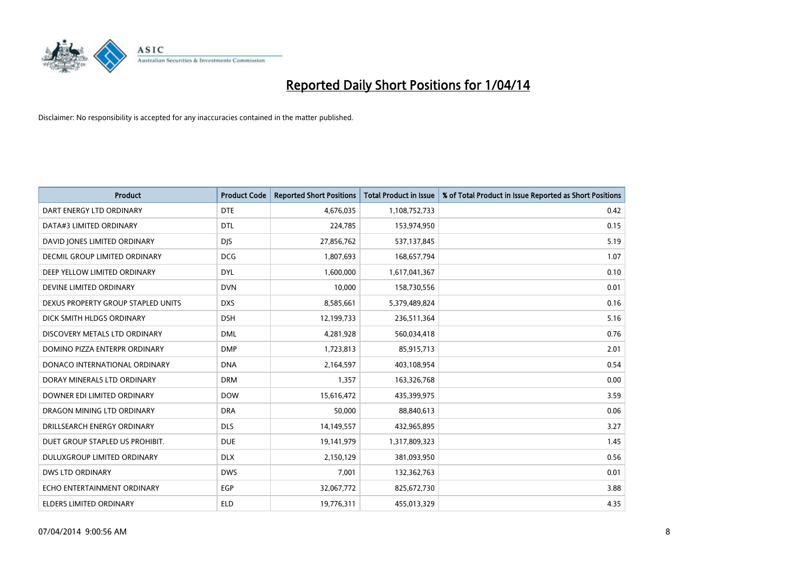

| <b>Product</b>                       | <b>Product Code</b> | <b>Reported Short Positions</b> | <b>Total Product in Issue</b> | % of Total Product in Issue Reported as Short Positions |
|--------------------------------------|---------------------|---------------------------------|-------------------------------|---------------------------------------------------------|
| DART ENERGY LTD ORDINARY             | <b>DTE</b>          | 4,676,035                       | 1,108,752,733                 | 0.42                                                    |
| DATA#3 LIMITED ORDINARY              | <b>DTL</b>          | 224,785                         | 153,974,950                   | 0.15                                                    |
| DAVID JONES LIMITED ORDINARY         | <b>DJS</b>          | 27,856,762                      | 537,137,845                   | 5.19                                                    |
| <b>DECMIL GROUP LIMITED ORDINARY</b> | <b>DCG</b>          | 1,807,693                       | 168,657,794                   | 1.07                                                    |
| DEEP YELLOW LIMITED ORDINARY         | <b>DYL</b>          | 1,600,000                       | 1,617,041,367                 | 0.10                                                    |
| DEVINE LIMITED ORDINARY              | <b>DVN</b>          | 10,000                          | 158,730,556                   | 0.01                                                    |
| DEXUS PROPERTY GROUP STAPLED UNITS   | <b>DXS</b>          | 8,585,661                       | 5,379,489,824                 | 0.16                                                    |
| DICK SMITH HLDGS ORDINARY            | <b>DSH</b>          | 12,199,733                      | 236,511,364                   | 5.16                                                    |
| DISCOVERY METALS LTD ORDINARY        | <b>DML</b>          | 4,281,928                       | 560,034,418                   | 0.76                                                    |
| DOMINO PIZZA ENTERPR ORDINARY        | <b>DMP</b>          | 1,723,813                       | 85,915,713                    | 2.01                                                    |
| DONACO INTERNATIONAL ORDINARY        | <b>DNA</b>          | 2,164,597                       | 403,108,954                   | 0.54                                                    |
| DORAY MINERALS LTD ORDINARY          | <b>DRM</b>          | 1,357                           | 163,326,768                   | 0.00                                                    |
| DOWNER EDI LIMITED ORDINARY          | <b>DOW</b>          | 15,616,472                      | 435,399,975                   | 3.59                                                    |
| DRAGON MINING LTD ORDINARY           | <b>DRA</b>          | 50,000                          | 88,840,613                    | 0.06                                                    |
| DRILLSEARCH ENERGY ORDINARY          | <b>DLS</b>          | 14,149,557                      | 432,965,895                   | 3.27                                                    |
| DUET GROUP STAPLED US PROHIBIT.      | <b>DUE</b>          | 19,141,979                      | 1,317,809,323                 | 1.45                                                    |
| DULUXGROUP LIMITED ORDINARY          | <b>DLX</b>          | 2,150,129                       | 381,093,950                   | 0.56                                                    |
| <b>DWS LTD ORDINARY</b>              | <b>DWS</b>          | 7,001                           | 132,362,763                   | 0.01                                                    |
| ECHO ENTERTAINMENT ORDINARY          | <b>EGP</b>          | 32,067,772                      | 825,672,730                   | 3.88                                                    |
| ELDERS LIMITED ORDINARY              | <b>ELD</b>          | 19,776,311                      | 455,013,329                   | 4.35                                                    |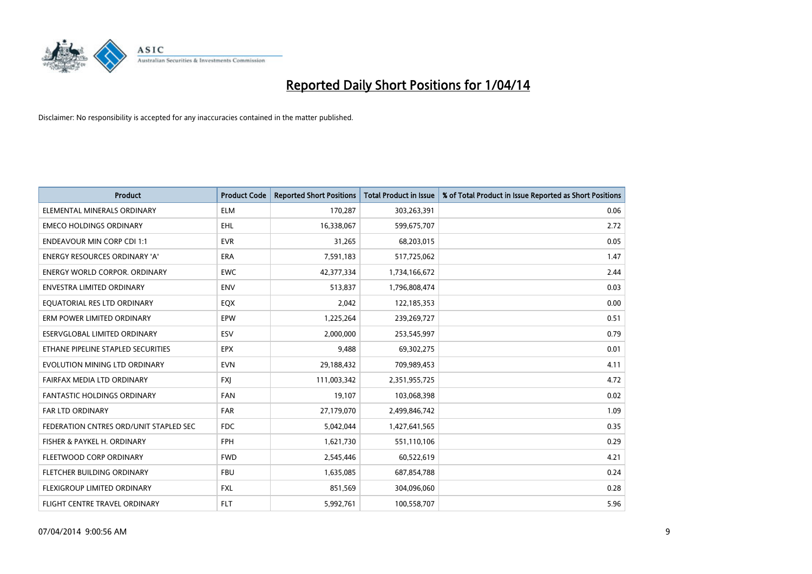

| <b>Product</b>                         | <b>Product Code</b> | <b>Reported Short Positions</b> | <b>Total Product in Issue</b> | % of Total Product in Issue Reported as Short Positions |
|----------------------------------------|---------------------|---------------------------------|-------------------------------|---------------------------------------------------------|
| ELEMENTAL MINERALS ORDINARY            | <b>ELM</b>          | 170,287                         | 303,263,391                   | 0.06                                                    |
| <b>EMECO HOLDINGS ORDINARY</b>         | EHL                 | 16,338,067                      | 599,675,707                   | 2.72                                                    |
| <b>ENDEAVOUR MIN CORP CDI 1:1</b>      | <b>EVR</b>          | 31,265                          | 68,203,015                    | 0.05                                                    |
| ENERGY RESOURCES ORDINARY 'A'          | <b>ERA</b>          | 7,591,183                       | 517,725,062                   | 1.47                                                    |
| <b>ENERGY WORLD CORPOR, ORDINARY</b>   | <b>EWC</b>          | 42,377,334                      | 1,734,166,672                 | 2.44                                                    |
| <b>ENVESTRA LIMITED ORDINARY</b>       | <b>ENV</b>          | 513,837                         | 1,796,808,474                 | 0.03                                                    |
| EQUATORIAL RES LTD ORDINARY            | EQX                 | 2,042                           | 122,185,353                   | 0.00                                                    |
| ERM POWER LIMITED ORDINARY             | EPW                 | 1,225,264                       | 239,269,727                   | 0.51                                                    |
| <b>ESERVGLOBAL LIMITED ORDINARY</b>    | ESV                 | 2,000,000                       | 253,545,997                   | 0.79                                                    |
| ETHANE PIPELINE STAPLED SECURITIES     | <b>EPX</b>          | 9,488                           | 69,302,275                    | 0.01                                                    |
| EVOLUTION MINING LTD ORDINARY          | <b>EVN</b>          | 29,188,432                      | 709,989,453                   | 4.11                                                    |
| FAIRFAX MEDIA LTD ORDINARY             | FXJ                 | 111,003,342                     | 2,351,955,725                 | 4.72                                                    |
| FANTASTIC HOLDINGS ORDINARY            | <b>FAN</b>          | 19,107                          | 103,068,398                   | 0.02                                                    |
| <b>FAR LTD ORDINARY</b>                | FAR                 | 27,179,070                      | 2,499,846,742                 | 1.09                                                    |
| FEDERATION CNTRES ORD/UNIT STAPLED SEC | <b>FDC</b>          | 5,042,044                       | 1,427,641,565                 | 0.35                                                    |
| FISHER & PAYKEL H. ORDINARY            | <b>FPH</b>          | 1,621,730                       | 551,110,106                   | 0.29                                                    |
| FLEETWOOD CORP ORDINARY                | <b>FWD</b>          | 2,545,446                       | 60,522,619                    | 4.21                                                    |
| FLETCHER BUILDING ORDINARY             | <b>FBU</b>          | 1,635,085                       | 687,854,788                   | 0.24                                                    |
| FLEXIGROUP LIMITED ORDINARY            | <b>FXL</b>          | 851,569                         | 304,096,060                   | 0.28                                                    |
| FLIGHT CENTRE TRAVEL ORDINARY          | <b>FLT</b>          | 5,992,761                       | 100,558,707                   | 5.96                                                    |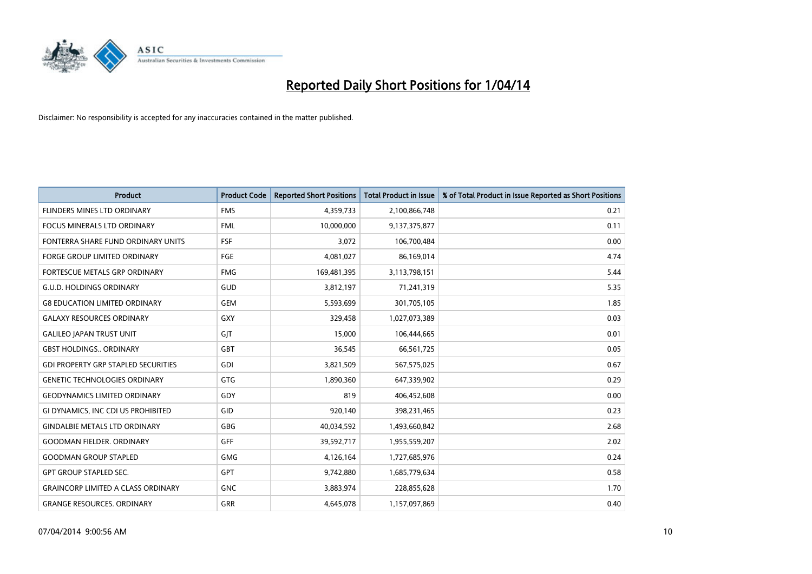

| <b>Product</b>                             | <b>Product Code</b> | <b>Reported Short Positions</b> | <b>Total Product in Issue</b> | % of Total Product in Issue Reported as Short Positions |
|--------------------------------------------|---------------------|---------------------------------|-------------------------------|---------------------------------------------------------|
| FLINDERS MINES LTD ORDINARY                | <b>FMS</b>          | 4,359,733                       | 2,100,866,748                 | 0.21                                                    |
| FOCUS MINERALS LTD ORDINARY                | <b>FML</b>          | 10,000,000                      | 9,137,375,877                 | 0.11                                                    |
| FONTERRA SHARE FUND ORDINARY UNITS         | <b>FSF</b>          | 3,072                           | 106,700,484                   | 0.00                                                    |
| FORGE GROUP LIMITED ORDINARY               | FGE                 | 4,081,027                       | 86,169,014                    | 4.74                                                    |
| FORTESCUE METALS GRP ORDINARY              | <b>FMG</b>          | 169,481,395                     | 3,113,798,151                 | 5.44                                                    |
| <b>G.U.D. HOLDINGS ORDINARY</b>            | GUD                 | 3,812,197                       | 71,241,319                    | 5.35                                                    |
| <b>G8 EDUCATION LIMITED ORDINARY</b>       | <b>GEM</b>          | 5,593,699                       | 301,705,105                   | 1.85                                                    |
| <b>GALAXY RESOURCES ORDINARY</b>           | GXY                 | 329,458                         | 1,027,073,389                 | 0.03                                                    |
| <b>GALILEO JAPAN TRUST UNIT</b>            | GJT                 | 15,000                          | 106,444,665                   | 0.01                                                    |
| <b>GBST HOLDINGS., ORDINARY</b>            | GBT                 | 36,545                          | 66,561,725                    | 0.05                                                    |
| <b>GDI PROPERTY GRP STAPLED SECURITIES</b> | <b>GDI</b>          | 3,821,509                       | 567,575,025                   | 0.67                                                    |
| <b>GENETIC TECHNOLOGIES ORDINARY</b>       | GTG                 | 1,890,360                       | 647,339,902                   | 0.29                                                    |
| <b>GEODYNAMICS LIMITED ORDINARY</b>        | GDY                 | 819                             | 406,452,608                   | 0.00                                                    |
| GI DYNAMICS, INC CDI US PROHIBITED         | GID                 | 920,140                         | 398,231,465                   | 0.23                                                    |
| <b>GINDALBIE METALS LTD ORDINARY</b>       | GBG                 | 40,034,592                      | 1,493,660,842                 | 2.68                                                    |
| <b>GOODMAN FIELDER. ORDINARY</b>           | <b>GFF</b>          | 39,592,717                      | 1,955,559,207                 | 2.02                                                    |
| <b>GOODMAN GROUP STAPLED</b>               | GMG                 | 4,126,164                       | 1,727,685,976                 | 0.24                                                    |
| <b>GPT GROUP STAPLED SEC.</b>              | GPT                 | 9,742,880                       | 1,685,779,634                 | 0.58                                                    |
| <b>GRAINCORP LIMITED A CLASS ORDINARY</b>  | <b>GNC</b>          | 3,883,974                       | 228,855,628                   | 1.70                                                    |
| <b>GRANGE RESOURCES. ORDINARY</b>          | <b>GRR</b>          | 4,645,078                       | 1,157,097,869                 | 0.40                                                    |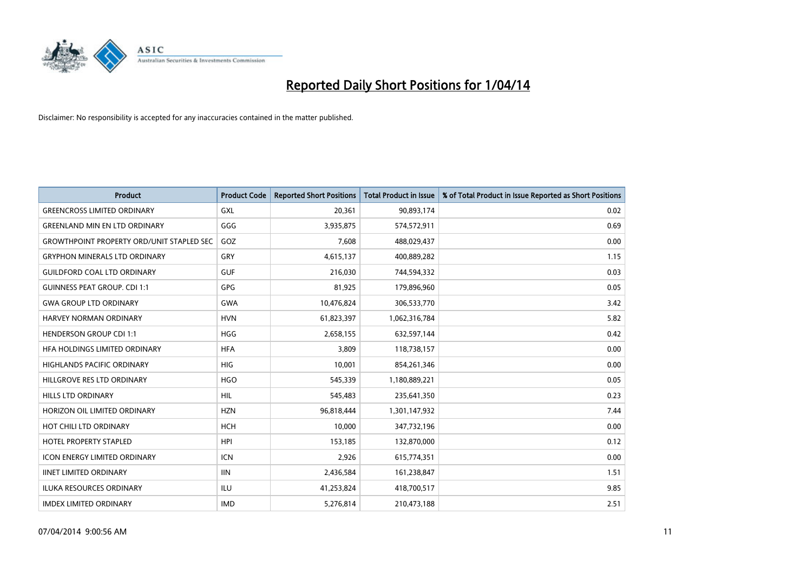

| <b>Product</b>                                   | <b>Product Code</b> | <b>Reported Short Positions</b> | <b>Total Product in Issue</b> | % of Total Product in Issue Reported as Short Positions |
|--------------------------------------------------|---------------------|---------------------------------|-------------------------------|---------------------------------------------------------|
| <b>GREENCROSS LIMITED ORDINARY</b>               | GXL                 | 20,361                          | 90,893,174                    | 0.02                                                    |
| <b>GREENLAND MIN EN LTD ORDINARY</b>             | GGG                 | 3,935,875                       | 574,572,911                   | 0.69                                                    |
| <b>GROWTHPOINT PROPERTY ORD/UNIT STAPLED SEC</b> | GOZ                 | 7,608                           | 488,029,437                   | 0.00                                                    |
| <b>GRYPHON MINERALS LTD ORDINARY</b>             | GRY                 | 4,615,137                       | 400,889,282                   | 1.15                                                    |
| <b>GUILDFORD COAL LTD ORDINARY</b>               | <b>GUF</b>          | 216,030                         | 744,594,332                   | 0.03                                                    |
| <b>GUINNESS PEAT GROUP. CDI 1:1</b>              | <b>GPG</b>          | 81,925                          | 179,896,960                   | 0.05                                                    |
| <b>GWA GROUP LTD ORDINARY</b>                    | <b>GWA</b>          | 10,476,824                      | 306,533,770                   | 3.42                                                    |
| HARVEY NORMAN ORDINARY                           | <b>HVN</b>          | 61,823,397                      | 1,062,316,784                 | 5.82                                                    |
| <b>HENDERSON GROUP CDI 1:1</b>                   | <b>HGG</b>          | 2,658,155                       | 632,597,144                   | 0.42                                                    |
| HFA HOLDINGS LIMITED ORDINARY                    | <b>HFA</b>          | 3,809                           | 118,738,157                   | 0.00                                                    |
| HIGHLANDS PACIFIC ORDINARY                       | <b>HIG</b>          | 10,001                          | 854,261,346                   | 0.00                                                    |
| HILLGROVE RES LTD ORDINARY                       | <b>HGO</b>          | 545,339                         | 1,180,889,221                 | 0.05                                                    |
| HILLS LTD ORDINARY                               | HIL                 | 545,483                         | 235,641,350                   | 0.23                                                    |
| HORIZON OIL LIMITED ORDINARY                     | <b>HZN</b>          | 96,818,444                      | 1,301,147,932                 | 7.44                                                    |
| HOT CHILI LTD ORDINARY                           | <b>HCH</b>          | 10,000                          | 347,732,196                   | 0.00                                                    |
| HOTEL PROPERTY STAPLED                           | <b>HPI</b>          | 153,185                         | 132,870,000                   | 0.12                                                    |
| ICON ENERGY LIMITED ORDINARY                     | <b>ICN</b>          | 2,926                           | 615,774,351                   | 0.00                                                    |
| <b>IINET LIMITED ORDINARY</b>                    | <b>IIN</b>          | 2,436,584                       | 161,238,847                   | 1.51                                                    |
| <b>ILUKA RESOURCES ORDINARY</b>                  | ILU                 | 41,253,824                      | 418,700,517                   | 9.85                                                    |
| <b>IMDEX LIMITED ORDINARY</b>                    | <b>IMD</b>          | 5,276,814                       | 210,473,188                   | 2.51                                                    |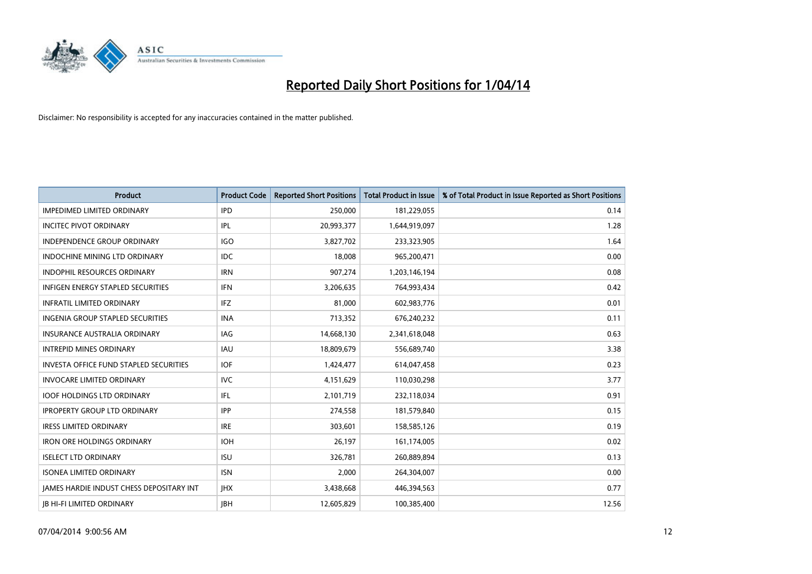

| <b>Product</b>                           | <b>Product Code</b> | <b>Reported Short Positions</b> | <b>Total Product in Issue</b> | % of Total Product in Issue Reported as Short Positions |
|------------------------------------------|---------------------|---------------------------------|-------------------------------|---------------------------------------------------------|
| <b>IMPEDIMED LIMITED ORDINARY</b>        | <b>IPD</b>          | 250,000                         | 181,229,055                   | 0.14                                                    |
| <b>INCITEC PIVOT ORDINARY</b>            | IPL                 | 20,993,377                      | 1,644,919,097                 | 1.28                                                    |
| <b>INDEPENDENCE GROUP ORDINARY</b>       | <b>IGO</b>          | 3,827,702                       | 233,323,905                   | 1.64                                                    |
| <b>INDOCHINE MINING LTD ORDINARY</b>     | <b>IDC</b>          | 18,008                          | 965,200,471                   | 0.00                                                    |
| <b>INDOPHIL RESOURCES ORDINARY</b>       | <b>IRN</b>          | 907,274                         | 1,203,146,194                 | 0.08                                                    |
| <b>INFIGEN ENERGY STAPLED SECURITIES</b> | <b>IFN</b>          | 3,206,635                       | 764,993,434                   | 0.42                                                    |
| <b>INFRATIL LIMITED ORDINARY</b>         | IFZ                 | 81,000                          | 602,983,776                   | 0.01                                                    |
| INGENIA GROUP STAPLED SECURITIES         | <b>INA</b>          | 713,352                         | 676,240,232                   | 0.11                                                    |
| <b>INSURANCE AUSTRALIA ORDINARY</b>      | IAG                 | 14,668,130                      | 2,341,618,048                 | 0.63                                                    |
| <b>INTREPID MINES ORDINARY</b>           | <b>IAU</b>          | 18,809,679                      | 556,689,740                   | 3.38                                                    |
| INVESTA OFFICE FUND STAPLED SECURITIES   | <b>IOF</b>          | 1,424,477                       | 614,047,458                   | 0.23                                                    |
| <b>INVOCARE LIMITED ORDINARY</b>         | <b>IVC</b>          | 4,151,629                       | 110,030,298                   | 3.77                                                    |
| <b>IOOF HOLDINGS LTD ORDINARY</b>        | IFL                 | 2,101,719                       | 232,118,034                   | 0.91                                                    |
| <b>IPROPERTY GROUP LTD ORDINARY</b>      | <b>IPP</b>          | 274,558                         | 181,579,840                   | 0.15                                                    |
| <b>IRESS LIMITED ORDINARY</b>            | <b>IRE</b>          | 303,601                         | 158,585,126                   | 0.19                                                    |
| <b>IRON ORE HOLDINGS ORDINARY</b>        | <b>IOH</b>          | 26,197                          | 161,174,005                   | 0.02                                                    |
| <b>ISELECT LTD ORDINARY</b>              | <b>ISU</b>          | 326,781                         | 260,889,894                   | 0.13                                                    |
| <b>ISONEA LIMITED ORDINARY</b>           | <b>ISN</b>          | 2,000                           | 264,304,007                   | 0.00                                                    |
| JAMES HARDIE INDUST CHESS DEPOSITARY INT | <b>IHX</b>          | 3,438,668                       | 446,394,563                   | 0.77                                                    |
| <b>JB HI-FI LIMITED ORDINARY</b>         | <b>IBH</b>          | 12,605,829                      | 100,385,400                   | 12.56                                                   |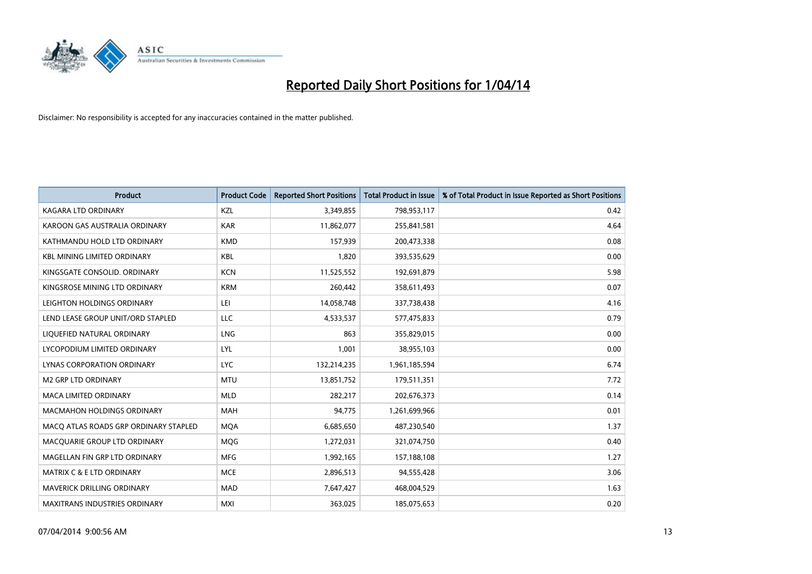

| <b>Product</b>                        | <b>Product Code</b> | <b>Reported Short Positions</b> | <b>Total Product in Issue</b> | % of Total Product in Issue Reported as Short Positions |
|---------------------------------------|---------------------|---------------------------------|-------------------------------|---------------------------------------------------------|
| <b>KAGARA LTD ORDINARY</b>            | <b>KZL</b>          | 3,349,855                       | 798,953,117                   | 0.42                                                    |
| KAROON GAS AUSTRALIA ORDINARY         | <b>KAR</b>          | 11,862,077                      | 255,841,581                   | 4.64                                                    |
| KATHMANDU HOLD LTD ORDINARY           | <b>KMD</b>          | 157,939                         | 200,473,338                   | 0.08                                                    |
| KBL MINING LIMITED ORDINARY           | <b>KBL</b>          | 1,820                           | 393,535,629                   | 0.00                                                    |
| KINGSGATE CONSOLID, ORDINARY          | <b>KCN</b>          | 11,525,552                      | 192,691,879                   | 5.98                                                    |
| KINGSROSE MINING LTD ORDINARY         | <b>KRM</b>          | 260,442                         | 358,611,493                   | 0.07                                                    |
| LEIGHTON HOLDINGS ORDINARY            | LEI                 | 14,058,748                      | 337,738,438                   | 4.16                                                    |
| LEND LEASE GROUP UNIT/ORD STAPLED     | LLC                 | 4,533,537                       | 577,475,833                   | 0.79                                                    |
| LIQUEFIED NATURAL ORDINARY            | <b>LNG</b>          | 863                             | 355,829,015                   | 0.00                                                    |
| LYCOPODIUM LIMITED ORDINARY           | LYL                 | 1,001                           | 38,955,103                    | 0.00                                                    |
| LYNAS CORPORATION ORDINARY            | <b>LYC</b>          | 132,214,235                     | 1,961,185,594                 | 6.74                                                    |
| <b>M2 GRP LTD ORDINARY</b>            | <b>MTU</b>          | 13,851,752                      | 179,511,351                   | 7.72                                                    |
| <b>MACA LIMITED ORDINARY</b>          | <b>MLD</b>          | 282,217                         | 202,676,373                   | 0.14                                                    |
| <b>MACMAHON HOLDINGS ORDINARY</b>     | MAH                 | 94,775                          | 1,261,699,966                 | 0.01                                                    |
| MACO ATLAS ROADS GRP ORDINARY STAPLED | <b>MQA</b>          | 6,685,650                       | 487,230,540                   | 1.37                                                    |
| MACQUARIE GROUP LTD ORDINARY          | <b>MOG</b>          | 1,272,031                       | 321,074,750                   | 0.40                                                    |
| MAGELLAN FIN GRP LTD ORDINARY         | <b>MFG</b>          | 1,992,165                       | 157,188,108                   | 1.27                                                    |
| MATRIX C & E LTD ORDINARY             | <b>MCE</b>          | 2,896,513                       | 94,555,428                    | 3.06                                                    |
| <b>MAVERICK DRILLING ORDINARY</b>     | <b>MAD</b>          | 7,647,427                       | 468,004,529                   | 1.63                                                    |
| <b>MAXITRANS INDUSTRIES ORDINARY</b>  | <b>MXI</b>          | 363,025                         | 185,075,653                   | 0.20                                                    |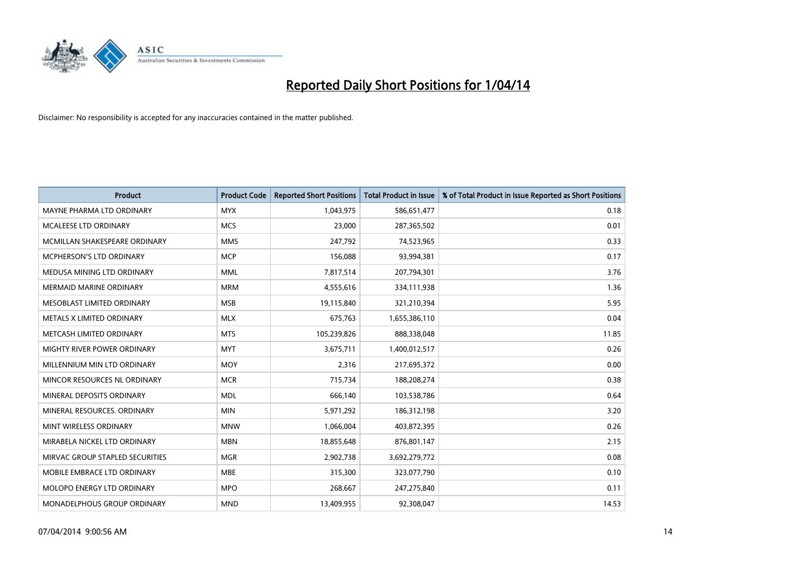

| <b>Product</b>                  | <b>Product Code</b> | <b>Reported Short Positions</b> | <b>Total Product in Issue</b> | % of Total Product in Issue Reported as Short Positions |
|---------------------------------|---------------------|---------------------------------|-------------------------------|---------------------------------------------------------|
| MAYNE PHARMA LTD ORDINARY       | <b>MYX</b>          | 1,043,975                       | 586,651,477                   | 0.18                                                    |
| MCALEESE LTD ORDINARY           | <b>MCS</b>          | 23,000                          | 287,365,502                   | 0.01                                                    |
| MCMILLAN SHAKESPEARE ORDINARY   | <b>MMS</b>          | 247,792                         | 74,523,965                    | 0.33                                                    |
| <b>MCPHERSON'S LTD ORDINARY</b> | <b>MCP</b>          | 156,088                         | 93,994,381                    | 0.17                                                    |
| MEDUSA MINING LTD ORDINARY      | <b>MML</b>          | 7,817,514                       | 207,794,301                   | 3.76                                                    |
| <b>MERMAID MARINE ORDINARY</b>  | <b>MRM</b>          | 4,555,616                       | 334,111,938                   | 1.36                                                    |
| MESOBLAST LIMITED ORDINARY      | <b>MSB</b>          | 19,115,840                      | 321,210,394                   | 5.95                                                    |
| METALS X LIMITED ORDINARY       | <b>MLX</b>          | 675,763                         | 1,655,386,110                 | 0.04                                                    |
| METCASH LIMITED ORDINARY        | <b>MTS</b>          | 105,239,826                     | 888,338,048                   | 11.85                                                   |
| MIGHTY RIVER POWER ORDINARY     | <b>MYT</b>          | 3,675,711                       | 1,400,012,517                 | 0.26                                                    |
| MILLENNIUM MIN LTD ORDINARY     | <b>MOY</b>          | 2,316                           | 217,695,372                   | 0.00                                                    |
| MINCOR RESOURCES NL ORDINARY    | <b>MCR</b>          | 715,734                         | 188,208,274                   | 0.38                                                    |
| MINERAL DEPOSITS ORDINARY       | <b>MDL</b>          | 666,140                         | 103,538,786                   | 0.64                                                    |
| MINERAL RESOURCES, ORDINARY     | <b>MIN</b>          | 5,971,292                       | 186,312,198                   | 3.20                                                    |
| MINT WIRELESS ORDINARY          | <b>MNW</b>          | 1,066,004                       | 403,872,395                   | 0.26                                                    |
| MIRABELA NICKEL LTD ORDINARY    | <b>MBN</b>          | 18,855,648                      | 876,801,147                   | 2.15                                                    |
| MIRVAC GROUP STAPLED SECURITIES | <b>MGR</b>          | 2,902,738                       | 3,692,279,772                 | 0.08                                                    |
| MOBILE EMBRACE LTD ORDINARY     | <b>MBE</b>          | 315,300                         | 323,077,790                   | 0.10                                                    |
| MOLOPO ENERGY LTD ORDINARY      | <b>MPO</b>          | 268,667                         | 247,275,840                   | 0.11                                                    |
| MONADELPHOUS GROUP ORDINARY     | <b>MND</b>          | 13,409,955                      | 92,308,047                    | 14.53                                                   |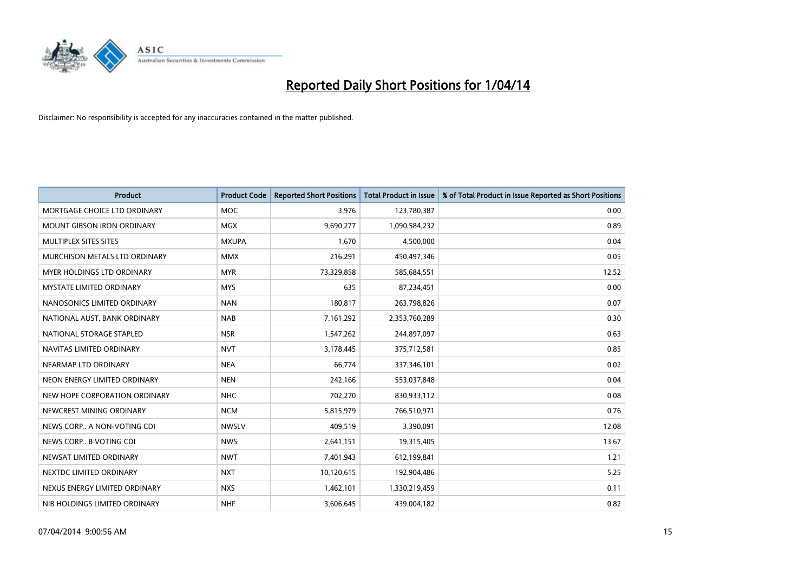

| <b>Product</b>                    | <b>Product Code</b> | <b>Reported Short Positions</b> | <b>Total Product in Issue</b> | % of Total Product in Issue Reported as Short Positions |
|-----------------------------------|---------------------|---------------------------------|-------------------------------|---------------------------------------------------------|
| MORTGAGE CHOICE LTD ORDINARY      | <b>MOC</b>          | 3,976                           | 123,780,387                   | 0.00                                                    |
| MOUNT GIBSON IRON ORDINARY        | MGX                 | 9,690,277                       | 1,090,584,232                 | 0.89                                                    |
| MULTIPLEX SITES SITES             | <b>MXUPA</b>        | 1,670                           | 4,500,000                     | 0.04                                                    |
| MURCHISON METALS LTD ORDINARY     | <b>MMX</b>          | 216,291                         | 450,497,346                   | 0.05                                                    |
| <b>MYER HOLDINGS LTD ORDINARY</b> | <b>MYR</b>          | 73,329,858                      | 585,684,551                   | 12.52                                                   |
| <b>MYSTATE LIMITED ORDINARY</b>   | <b>MYS</b>          | 635                             | 87,234,451                    | 0.00                                                    |
| NANOSONICS LIMITED ORDINARY       | <b>NAN</b>          | 180,817                         | 263,798,826                   | 0.07                                                    |
| NATIONAL AUST. BANK ORDINARY      | <b>NAB</b>          | 7,161,292                       | 2,353,760,289                 | 0.30                                                    |
| NATIONAL STORAGE STAPLED          | <b>NSR</b>          | 1,547,262                       | 244,897,097                   | 0.63                                                    |
| NAVITAS LIMITED ORDINARY          | <b>NVT</b>          | 3,178,445                       | 375,712,581                   | 0.85                                                    |
| NEARMAP LTD ORDINARY              | <b>NEA</b>          | 66,774                          | 337,346,101                   | 0.02                                                    |
| NEON ENERGY LIMITED ORDINARY      | <b>NEN</b>          | 242,166                         | 553,037,848                   | 0.04                                                    |
| NEW HOPE CORPORATION ORDINARY     | <b>NHC</b>          | 702,270                         | 830,933,112                   | 0.08                                                    |
| NEWCREST MINING ORDINARY          | <b>NCM</b>          | 5,815,979                       | 766,510,971                   | 0.76                                                    |
| NEWS CORP A NON-VOTING CDI        | <b>NWSLV</b>        | 409,519                         | 3,390,091                     | 12.08                                                   |
| NEWS CORP B VOTING CDI            | <b>NWS</b>          | 2,641,151                       | 19,315,405                    | 13.67                                                   |
| NEWSAT LIMITED ORDINARY           | <b>NWT</b>          | 7,401,943                       | 612,199,841                   | 1.21                                                    |
| NEXTDC LIMITED ORDINARY           | <b>NXT</b>          | 10,120,615                      | 192,904,486                   | 5.25                                                    |
| NEXUS ENERGY LIMITED ORDINARY     | <b>NXS</b>          | 1,462,101                       | 1,330,219,459                 | 0.11                                                    |
| NIB HOLDINGS LIMITED ORDINARY     | <b>NHF</b>          | 3,606,645                       | 439,004,182                   | 0.82                                                    |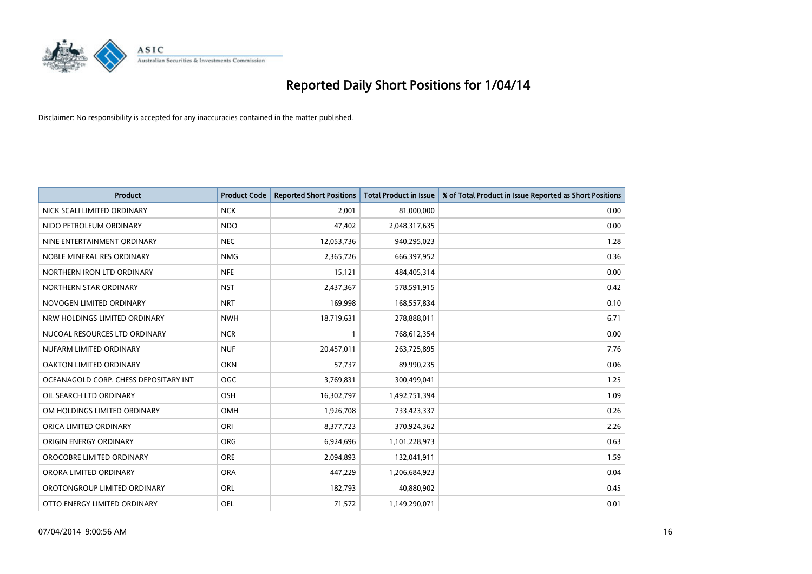

| <b>Product</b>                        | <b>Product Code</b> | <b>Reported Short Positions</b> | <b>Total Product in Issue</b> | % of Total Product in Issue Reported as Short Positions |
|---------------------------------------|---------------------|---------------------------------|-------------------------------|---------------------------------------------------------|
| NICK SCALI LIMITED ORDINARY           | <b>NCK</b>          | 2,001                           | 81,000,000                    | 0.00                                                    |
| NIDO PETROLEUM ORDINARY               | <b>NDO</b>          | 47,402                          | 2,048,317,635                 | 0.00                                                    |
| NINE ENTERTAINMENT ORDINARY           | <b>NEC</b>          | 12,053,736                      | 940,295,023                   | 1.28                                                    |
| NOBLE MINERAL RES ORDINARY            | <b>NMG</b>          | 2,365,726                       | 666,397,952                   | 0.36                                                    |
| NORTHERN IRON LTD ORDINARY            | <b>NFE</b>          | 15,121                          | 484,405,314                   | 0.00                                                    |
| NORTHERN STAR ORDINARY                | <b>NST</b>          | 2,437,367                       | 578,591,915                   | 0.42                                                    |
| NOVOGEN LIMITED ORDINARY              | <b>NRT</b>          | 169,998                         | 168,557,834                   | 0.10                                                    |
| NRW HOLDINGS LIMITED ORDINARY         | <b>NWH</b>          | 18,719,631                      | 278,888,011                   | 6.71                                                    |
| NUCOAL RESOURCES LTD ORDINARY         | <b>NCR</b>          | 1                               | 768,612,354                   | 0.00                                                    |
| NUFARM LIMITED ORDINARY               | <b>NUF</b>          | 20,457,011                      | 263,725,895                   | 7.76                                                    |
| OAKTON LIMITED ORDINARY               | <b>OKN</b>          | 57,737                          | 89,990,235                    | 0.06                                                    |
| OCEANAGOLD CORP. CHESS DEPOSITARY INT | <b>OGC</b>          | 3,769,831                       | 300,499,041                   | 1.25                                                    |
| OIL SEARCH LTD ORDINARY               | <b>OSH</b>          | 16,302,797                      | 1,492,751,394                 | 1.09                                                    |
| OM HOLDINGS LIMITED ORDINARY          | <b>OMH</b>          | 1,926,708                       | 733,423,337                   | 0.26                                                    |
| ORICA LIMITED ORDINARY                | ORI                 | 8,377,723                       | 370,924,362                   | 2.26                                                    |
| ORIGIN ENERGY ORDINARY                | <b>ORG</b>          | 6,924,696                       | 1,101,228,973                 | 0.63                                                    |
| OROCOBRE LIMITED ORDINARY             | <b>ORE</b>          | 2,094,893                       | 132,041,911                   | 1.59                                                    |
| ORORA LIMITED ORDINARY                | <b>ORA</b>          | 447,229                         | 1,206,684,923                 | 0.04                                                    |
| OROTONGROUP LIMITED ORDINARY          | ORL                 | 182,793                         | 40,880,902                    | 0.45                                                    |
| OTTO ENERGY LIMITED ORDINARY          | <b>OEL</b>          | 71,572                          | 1,149,290,071                 | 0.01                                                    |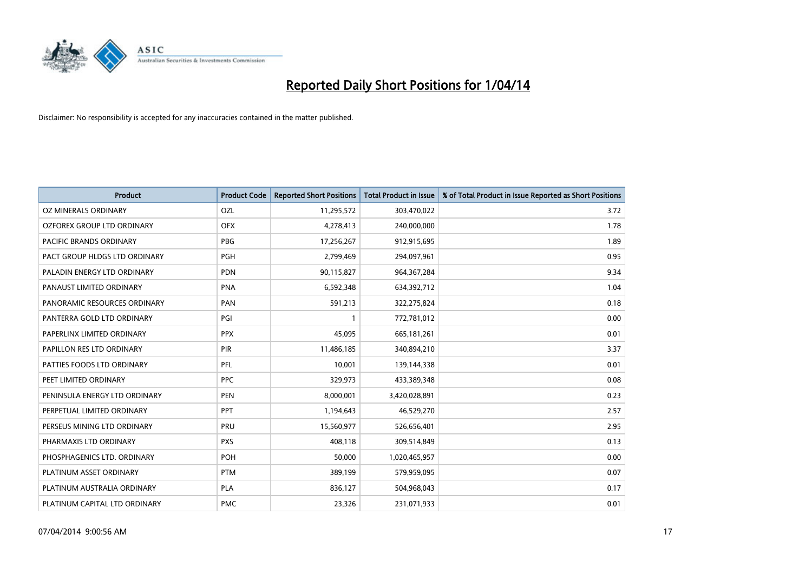

| <b>Product</b>                | <b>Product Code</b> | <b>Reported Short Positions</b> | <b>Total Product in Issue</b> | % of Total Product in Issue Reported as Short Positions |
|-------------------------------|---------------------|---------------------------------|-------------------------------|---------------------------------------------------------|
| <b>OZ MINERALS ORDINARY</b>   | OZL                 | 11,295,572                      | 303,470,022                   | 3.72                                                    |
| OZFOREX GROUP LTD ORDINARY    | <b>OFX</b>          | 4,278,413                       | 240,000,000                   | 1.78                                                    |
| PACIFIC BRANDS ORDINARY       | <b>PBG</b>          | 17,256,267                      | 912,915,695                   | 1.89                                                    |
| PACT GROUP HLDGS LTD ORDINARY | <b>PGH</b>          | 2,799,469                       | 294,097,961                   | 0.95                                                    |
| PALADIN ENERGY LTD ORDINARY   | <b>PDN</b>          | 90,115,827                      | 964, 367, 284                 | 9.34                                                    |
| PANAUST LIMITED ORDINARY      | <b>PNA</b>          | 6,592,348                       | 634,392,712                   | 1.04                                                    |
| PANORAMIC RESOURCES ORDINARY  | PAN                 | 591,213                         | 322,275,824                   | 0.18                                                    |
| PANTERRA GOLD LTD ORDINARY    | PGI                 | 1                               | 772,781,012                   | 0.00                                                    |
| PAPERLINX LIMITED ORDINARY    | <b>PPX</b>          | 45,095                          | 665, 181, 261                 | 0.01                                                    |
| PAPILLON RES LTD ORDINARY     | PIR                 | 11,486,185                      | 340,894,210                   | 3.37                                                    |
| PATTIES FOODS LTD ORDINARY    | <b>PFL</b>          | 10,001                          | 139,144,338                   | 0.01                                                    |
| PEET LIMITED ORDINARY         | <b>PPC</b>          | 329,973                         | 433,389,348                   | 0.08                                                    |
| PENINSULA ENERGY LTD ORDINARY | <b>PEN</b>          | 8,000,001                       | 3,420,028,891                 | 0.23                                                    |
| PERPETUAL LIMITED ORDINARY    | <b>PPT</b>          | 1,194,643                       | 46,529,270                    | 2.57                                                    |
| PERSEUS MINING LTD ORDINARY   | PRU                 | 15,560,977                      | 526,656,401                   | 2.95                                                    |
| PHARMAXIS LTD ORDINARY        | <b>PXS</b>          | 408,118                         | 309,514,849                   | 0.13                                                    |
| PHOSPHAGENICS LTD. ORDINARY   | POH                 | 50,000                          | 1,020,465,957                 | 0.00                                                    |
| PLATINUM ASSET ORDINARY       | <b>PTM</b>          | 389,199                         | 579,959,095                   | 0.07                                                    |
| PLATINUM AUSTRALIA ORDINARY   | <b>PLA</b>          | 836,127                         | 504,968,043                   | 0.17                                                    |
| PLATINUM CAPITAL LTD ORDINARY | <b>PMC</b>          | 23,326                          | 231,071,933                   | 0.01                                                    |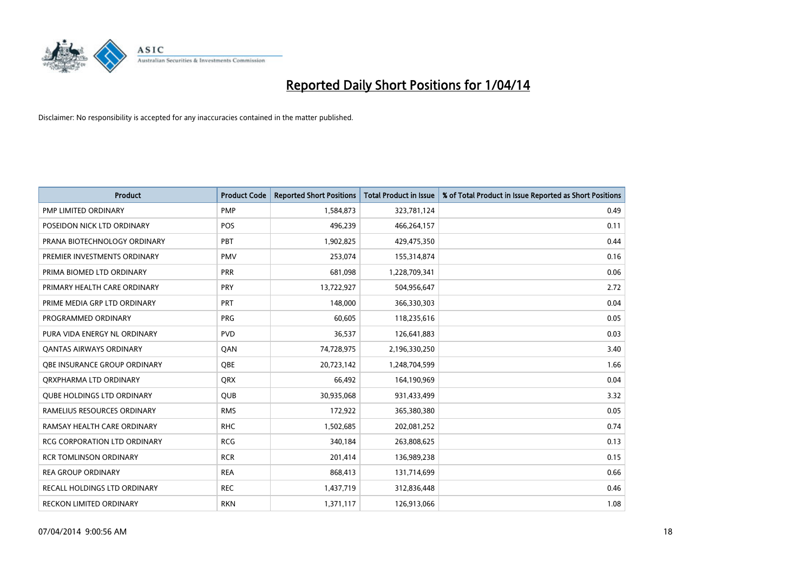

| <b>Product</b>                      | <b>Product Code</b> | <b>Reported Short Positions</b> | <b>Total Product in Issue</b> | % of Total Product in Issue Reported as Short Positions |
|-------------------------------------|---------------------|---------------------------------|-------------------------------|---------------------------------------------------------|
| <b>PMP LIMITED ORDINARY</b>         | <b>PMP</b>          | 1,584,873                       | 323,781,124                   | 0.49                                                    |
| POSEIDON NICK LTD ORDINARY          | <b>POS</b>          | 496,239                         | 466,264,157                   | 0.11                                                    |
|                                     |                     |                                 |                               |                                                         |
| PRANA BIOTECHNOLOGY ORDINARY        | PBT                 | 1,902,825                       | 429,475,350                   | 0.44                                                    |
| PREMIER INVESTMENTS ORDINARY        | <b>PMV</b>          | 253,074                         | 155,314,874                   | 0.16                                                    |
| PRIMA BIOMED LTD ORDINARY           | <b>PRR</b>          | 681,098                         | 1,228,709,341                 | 0.06                                                    |
| PRIMARY HEALTH CARE ORDINARY        | <b>PRY</b>          | 13,722,927                      | 504,956,647                   | 2.72                                                    |
| PRIME MEDIA GRP LTD ORDINARY        | PRT                 | 148,000                         | 366,330,303                   | 0.04                                                    |
| PROGRAMMED ORDINARY                 | <b>PRG</b>          | 60,605                          | 118,235,616                   | 0.05                                                    |
| PURA VIDA ENERGY NL ORDINARY        | <b>PVD</b>          | 36,537                          | 126,641,883                   | 0.03                                                    |
| <b>QANTAS AIRWAYS ORDINARY</b>      | QAN                 | 74,728,975                      | 2,196,330,250                 | 3.40                                                    |
| OBE INSURANCE GROUP ORDINARY        | <b>OBE</b>          | 20,723,142                      | 1,248,704,599                 | 1.66                                                    |
| ORXPHARMA LTD ORDINARY              | QRX                 | 66,492                          | 164,190,969                   | 0.04                                                    |
| <b>QUBE HOLDINGS LTD ORDINARY</b>   | <b>QUB</b>          | 30,935,068                      | 931,433,499                   | 3.32                                                    |
| RAMELIUS RESOURCES ORDINARY         | <b>RMS</b>          | 172,922                         | 365,380,380                   | 0.05                                                    |
| RAMSAY HEALTH CARE ORDINARY         | <b>RHC</b>          | 1,502,685                       | 202,081,252                   | 0.74                                                    |
| <b>RCG CORPORATION LTD ORDINARY</b> | <b>RCG</b>          | 340,184                         | 263,808,625                   | 0.13                                                    |
| <b>RCR TOMLINSON ORDINARY</b>       | <b>RCR</b>          | 201,414                         | 136,989,238                   | 0.15                                                    |
| <b>REA GROUP ORDINARY</b>           | <b>REA</b>          | 868,413                         | 131,714,699                   | 0.66                                                    |
| RECALL HOLDINGS LTD ORDINARY        | <b>REC</b>          | 1,437,719                       | 312,836,448                   | 0.46                                                    |
| RECKON LIMITED ORDINARY             | <b>RKN</b>          | 1,371,117                       | 126,913,066                   | 1.08                                                    |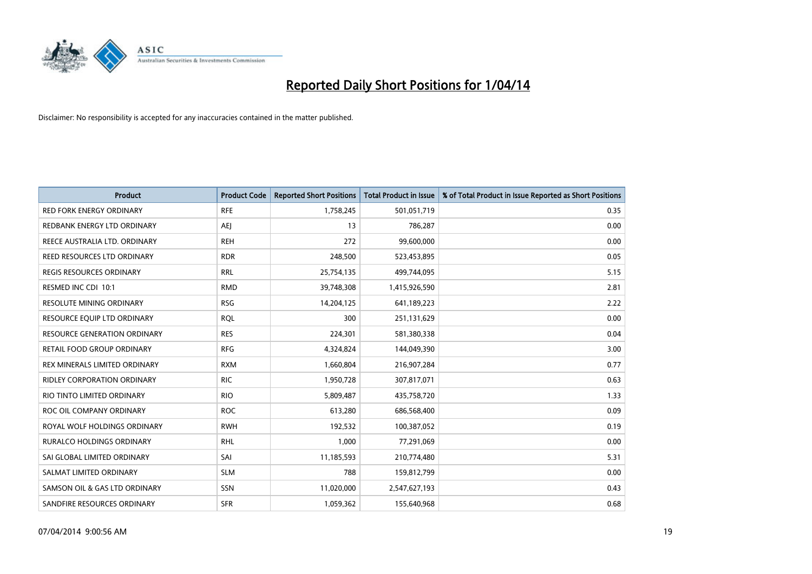

| <b>Product</b>                      | <b>Product Code</b> | <b>Reported Short Positions</b> | <b>Total Product in Issue</b> | % of Total Product in Issue Reported as Short Positions |
|-------------------------------------|---------------------|---------------------------------|-------------------------------|---------------------------------------------------------|
| <b>RED FORK ENERGY ORDINARY</b>     | <b>RFE</b>          | 1,758,245                       | 501,051,719                   | 0.35                                                    |
| REDBANK ENERGY LTD ORDINARY         | AEJ                 | 13                              | 786,287                       | 0.00                                                    |
| REECE AUSTRALIA LTD. ORDINARY       | <b>REH</b>          | 272                             | 99,600,000                    | 0.00                                                    |
| REED RESOURCES LTD ORDINARY         | <b>RDR</b>          | 248,500                         | 523,453,895                   | 0.05                                                    |
| <b>REGIS RESOURCES ORDINARY</b>     | <b>RRL</b>          | 25,754,135                      | 499,744,095                   | 5.15                                                    |
| RESMED INC CDI 10:1                 | <b>RMD</b>          | 39,748,308                      | 1,415,926,590                 | 2.81                                                    |
| <b>RESOLUTE MINING ORDINARY</b>     | <b>RSG</b>          | 14,204,125                      | 641,189,223                   | 2.22                                                    |
| RESOURCE EQUIP LTD ORDINARY         | <b>RQL</b>          | 300                             | 251,131,629                   | 0.00                                                    |
| <b>RESOURCE GENERATION ORDINARY</b> | <b>RES</b>          | 224,301                         | 581,380,338                   | 0.04                                                    |
| RETAIL FOOD GROUP ORDINARY          | <b>RFG</b>          | 4,324,824                       | 144,049,390                   | 3.00                                                    |
| REX MINERALS LIMITED ORDINARY       | <b>RXM</b>          | 1,660,804                       | 216,907,284                   | 0.77                                                    |
| <b>RIDLEY CORPORATION ORDINARY</b>  | <b>RIC</b>          | 1,950,728                       | 307,817,071                   | 0.63                                                    |
| RIO TINTO LIMITED ORDINARY          | <b>RIO</b>          | 5,809,487                       | 435,758,720                   | 1.33                                                    |
| ROC OIL COMPANY ORDINARY            | <b>ROC</b>          | 613,280                         | 686,568,400                   | 0.09                                                    |
| ROYAL WOLF HOLDINGS ORDINARY        | <b>RWH</b>          | 192,532                         | 100,387,052                   | 0.19                                                    |
| RURALCO HOLDINGS ORDINARY           | <b>RHL</b>          | 1,000                           | 77,291,069                    | 0.00                                                    |
| SAI GLOBAL LIMITED ORDINARY         | SAI                 | 11,185,593                      | 210,774,480                   | 5.31                                                    |
| SALMAT LIMITED ORDINARY             | <b>SLM</b>          | 788                             | 159,812,799                   | 0.00                                                    |
| SAMSON OIL & GAS LTD ORDINARY       | SSN                 | 11,020,000                      | 2,547,627,193                 | 0.43                                                    |
| SANDFIRE RESOURCES ORDINARY         | <b>SFR</b>          | 1,059,362                       | 155,640,968                   | 0.68                                                    |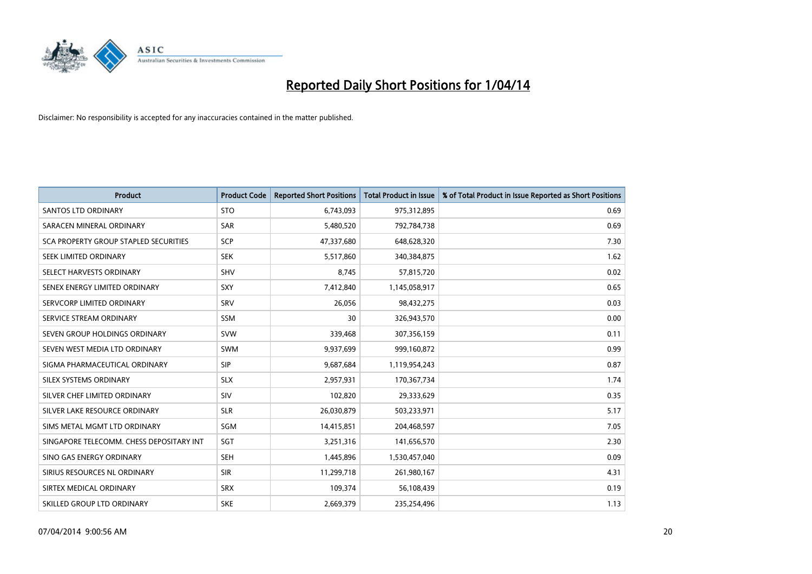

| <b>Product</b>                           | <b>Product Code</b> | <b>Reported Short Positions</b> | <b>Total Product in Issue</b> | % of Total Product in Issue Reported as Short Positions |
|------------------------------------------|---------------------|---------------------------------|-------------------------------|---------------------------------------------------------|
| <b>SANTOS LTD ORDINARY</b>               | <b>STO</b>          | 6,743,093                       | 975,312,895                   | 0.69                                                    |
| SARACEN MINERAL ORDINARY                 | <b>SAR</b>          | 5,480,520                       | 792,784,738                   | 0.69                                                    |
| SCA PROPERTY GROUP STAPLED SECURITIES    | <b>SCP</b>          | 47,337,680                      | 648,628,320                   | 7.30                                                    |
| SEEK LIMITED ORDINARY                    | <b>SEK</b>          | 5,517,860                       | 340,384,875                   | 1.62                                                    |
| SELECT HARVESTS ORDINARY                 | <b>SHV</b>          | 8,745                           | 57,815,720                    | 0.02                                                    |
| SENEX ENERGY LIMITED ORDINARY            | <b>SXY</b>          | 7,412,840                       | 1,145,058,917                 | 0.65                                                    |
| SERVCORP LIMITED ORDINARY                | SRV                 | 26,056                          | 98,432,275                    | 0.03                                                    |
| SERVICE STREAM ORDINARY                  | <b>SSM</b>          | 30                              | 326,943,570                   | 0.00                                                    |
| SEVEN GROUP HOLDINGS ORDINARY            | <b>SVW</b>          | 339,468                         | 307,356,159                   | 0.11                                                    |
| SEVEN WEST MEDIA LTD ORDINARY            | <b>SWM</b>          | 9,937,699                       | 999,160,872                   | 0.99                                                    |
| SIGMA PHARMACEUTICAL ORDINARY            | <b>SIP</b>          | 9,687,684                       | 1,119,954,243                 | 0.87                                                    |
| SILEX SYSTEMS ORDINARY                   | <b>SLX</b>          | 2,957,931                       | 170,367,734                   | 1.74                                                    |
| SILVER CHEF LIMITED ORDINARY             | SIV                 | 102,820                         | 29,333,629                    | 0.35                                                    |
| SILVER LAKE RESOURCE ORDINARY            | <b>SLR</b>          | 26,030,879                      | 503,233,971                   | 5.17                                                    |
| SIMS METAL MGMT LTD ORDINARY             | <b>SGM</b>          | 14,415,851                      | 204,468,597                   | 7.05                                                    |
| SINGAPORE TELECOMM. CHESS DEPOSITARY INT | SGT                 | 3,251,316                       | 141,656,570                   | 2.30                                                    |
| SINO GAS ENERGY ORDINARY                 | SEH                 | 1,445,896                       | 1,530,457,040                 | 0.09                                                    |
| SIRIUS RESOURCES NL ORDINARY             | <b>SIR</b>          | 11,299,718                      | 261,980,167                   | 4.31                                                    |
| SIRTEX MEDICAL ORDINARY                  | <b>SRX</b>          | 109,374                         | 56,108,439                    | 0.19                                                    |
| SKILLED GROUP LTD ORDINARY               | <b>SKE</b>          | 2,669,379                       | 235,254,496                   | 1.13                                                    |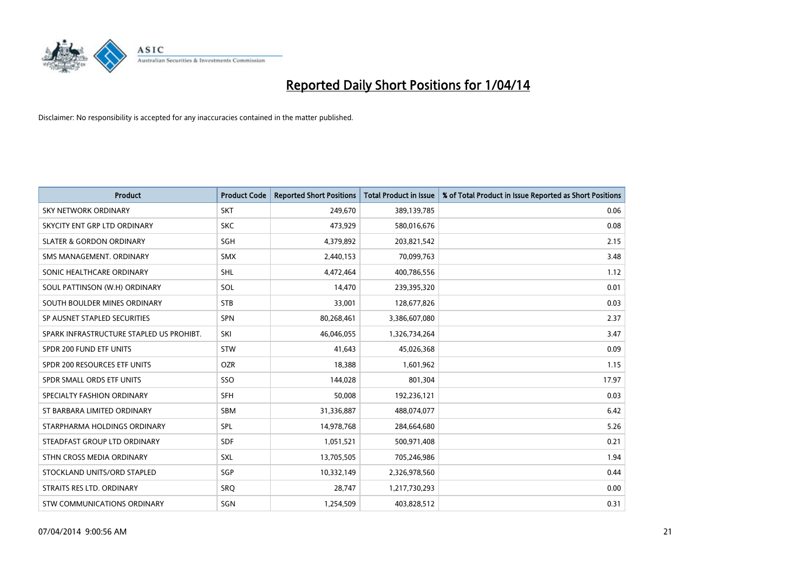

| <b>Product</b>                           | <b>Product Code</b> | <b>Reported Short Positions</b> | <b>Total Product in Issue</b> | % of Total Product in Issue Reported as Short Positions |
|------------------------------------------|---------------------|---------------------------------|-------------------------------|---------------------------------------------------------|
| <b>SKY NETWORK ORDINARY</b>              | <b>SKT</b>          | 249,670                         | 389,139,785                   | 0.06                                                    |
| SKYCITY ENT GRP LTD ORDINARY             | <b>SKC</b>          | 473,929                         | 580,016,676                   | 0.08                                                    |
| <b>SLATER &amp; GORDON ORDINARY</b>      | SGH                 | 4,379,892                       | 203,821,542                   | 2.15                                                    |
| SMS MANAGEMENT. ORDINARY                 | <b>SMX</b>          | 2,440,153                       | 70,099,763                    | 3.48                                                    |
| SONIC HEALTHCARE ORDINARY                | SHL                 | 4,472,464                       | 400,786,556                   | 1.12                                                    |
| SOUL PATTINSON (W.H) ORDINARY            | SOL                 | 14,470                          | 239,395,320                   | 0.01                                                    |
| SOUTH BOULDER MINES ORDINARY             | <b>STB</b>          | 33,001                          | 128,677,826                   | 0.03                                                    |
| SP AUSNET STAPLED SECURITIES             | <b>SPN</b>          | 80,268,461                      | 3,386,607,080                 | 2.37                                                    |
| SPARK INFRASTRUCTURE STAPLED US PROHIBT. | SKI                 | 46,046,055                      | 1,326,734,264                 | 3.47                                                    |
| SPDR 200 FUND ETF UNITS                  | <b>STW</b>          | 41,643                          | 45,026,368                    | 0.09                                                    |
| SPDR 200 RESOURCES ETF UNITS             | <b>OZR</b>          | 18,388                          | 1,601,962                     | 1.15                                                    |
| SPDR SMALL ORDS ETF UNITS                | SSO                 | 144,028                         | 801,304                       | 17.97                                                   |
| SPECIALTY FASHION ORDINARY               | <b>SFH</b>          | 50,008                          | 192,236,121                   | 0.03                                                    |
| ST BARBARA LIMITED ORDINARY              | SBM                 | 31,336,887                      | 488,074,077                   | 6.42                                                    |
| STARPHARMA HOLDINGS ORDINARY             | SPL                 | 14,978,768                      | 284,664,680                   | 5.26                                                    |
| STEADFAST GROUP LTD ORDINARY             | SDF                 | 1,051,521                       | 500,971,408                   | 0.21                                                    |
| STHN CROSS MEDIA ORDINARY                | SXL                 | 13,705,505                      | 705,246,986                   | 1.94                                                    |
| STOCKLAND UNITS/ORD STAPLED              | SGP                 | 10,332,149                      | 2,326,978,560                 | 0.44                                                    |
| STRAITS RES LTD. ORDINARY                | SRO                 | 28,747                          | 1,217,730,293                 | 0.00                                                    |
| STW COMMUNICATIONS ORDINARY              | SGN                 | 1,254,509                       | 403,828,512                   | 0.31                                                    |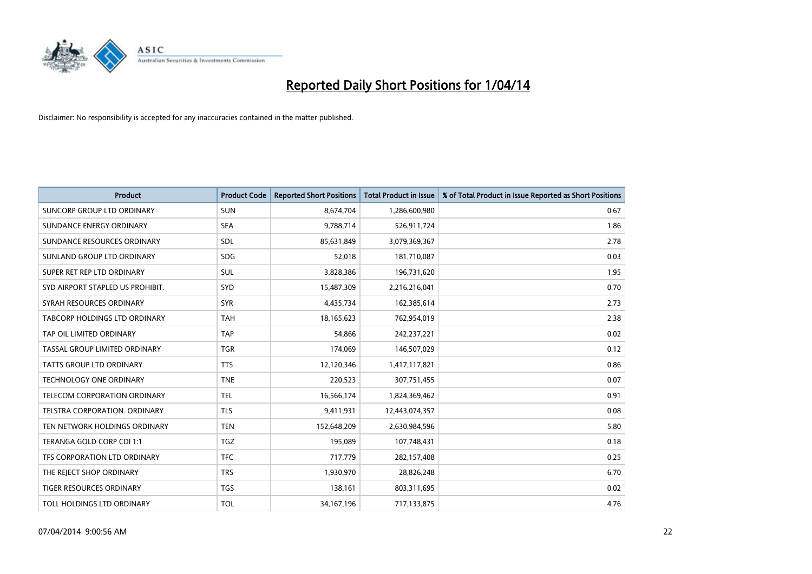

| <b>Product</b>                    | <b>Product Code</b> | <b>Reported Short Positions</b> | <b>Total Product in Issue</b> | % of Total Product in Issue Reported as Short Positions |
|-----------------------------------|---------------------|---------------------------------|-------------------------------|---------------------------------------------------------|
| <b>SUNCORP GROUP LTD ORDINARY</b> | <b>SUN</b>          | 8,674,704                       | 1,286,600,980                 | 0.67                                                    |
| SUNDANCE ENERGY ORDINARY          | <b>SEA</b>          | 9,788,714                       | 526,911,724                   | 1.86                                                    |
| SUNDANCE RESOURCES ORDINARY       | <b>SDL</b>          | 85,631,849                      | 3,079,369,367                 | 2.78                                                    |
| SUNLAND GROUP LTD ORDINARY        | <b>SDG</b>          | 52,018                          | 181,710,087                   | 0.03                                                    |
| SUPER RET REP LTD ORDINARY        | SUL                 | 3,828,386                       | 196,731,620                   | 1.95                                                    |
| SYD AIRPORT STAPLED US PROHIBIT.  | <b>SYD</b>          | 15,487,309                      | 2,216,216,041                 | 0.70                                                    |
| SYRAH RESOURCES ORDINARY          | <b>SYR</b>          | 4,435,734                       | 162,385,614                   | 2.73                                                    |
| TABCORP HOLDINGS LTD ORDINARY     | <b>TAH</b>          | 18,165,623                      | 762,954,019                   | 2.38                                                    |
| TAP OIL LIMITED ORDINARY          | <b>TAP</b>          | 54,866                          | 242,237,221                   | 0.02                                                    |
| TASSAL GROUP LIMITED ORDINARY     | <b>TGR</b>          | 174,069                         | 146,507,029                   | 0.12                                                    |
| TATTS GROUP LTD ORDINARY          | <b>TTS</b>          | 12,120,346                      | 1,417,117,821                 | 0.86                                                    |
| <b>TECHNOLOGY ONE ORDINARY</b>    | <b>TNE</b>          | 220,523                         | 307,751,455                   | 0.07                                                    |
| TELECOM CORPORATION ORDINARY      | <b>TEL</b>          | 16,566,174                      | 1,824,369,462                 | 0.91                                                    |
| TELSTRA CORPORATION, ORDINARY     | <b>TLS</b>          | 9,411,931                       | 12,443,074,357                | 0.08                                                    |
| TEN NETWORK HOLDINGS ORDINARY     | <b>TEN</b>          | 152,648,209                     | 2,630,984,596                 | 5.80                                                    |
| TERANGA GOLD CORP CDI 1:1         | <b>TGZ</b>          | 195,089                         | 107,748,431                   | 0.18                                                    |
| TFS CORPORATION LTD ORDINARY      | <b>TFC</b>          | 717,779                         | 282,157,408                   | 0.25                                                    |
| THE REJECT SHOP ORDINARY          | <b>TRS</b>          | 1,930,970                       | 28,826,248                    | 6.70                                                    |
| <b>TIGER RESOURCES ORDINARY</b>   | <b>TGS</b>          | 138,161                         | 803,311,695                   | 0.02                                                    |
| TOLL HOLDINGS LTD ORDINARY        | <b>TOL</b>          | 34, 167, 196                    | 717,133,875                   | 4.76                                                    |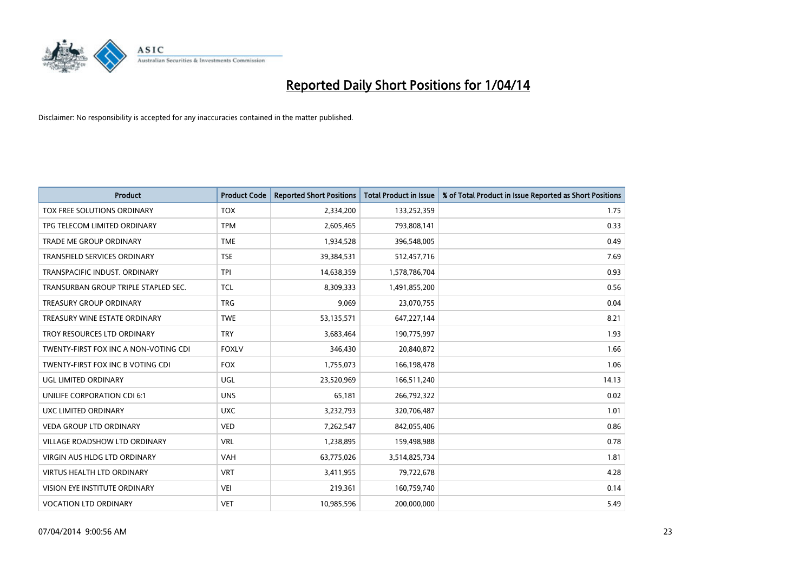

| <b>Product</b>                        | <b>Product Code</b> | <b>Reported Short Positions</b> | <b>Total Product in Issue</b> | % of Total Product in Issue Reported as Short Positions |
|---------------------------------------|---------------------|---------------------------------|-------------------------------|---------------------------------------------------------|
| TOX FREE SOLUTIONS ORDINARY           | <b>TOX</b>          | 2,334,200                       | 133,252,359                   | 1.75                                                    |
| TPG TELECOM LIMITED ORDINARY          | <b>TPM</b>          | 2,605,465                       | 793,808,141                   | 0.33                                                    |
| <b>TRADE ME GROUP ORDINARY</b>        | <b>TME</b>          | 1,934,528                       | 396,548,005                   | 0.49                                                    |
| TRANSFIELD SERVICES ORDINARY          | <b>TSE</b>          | 39,384,531                      | 512,457,716                   | 7.69                                                    |
| TRANSPACIFIC INDUST, ORDINARY         | <b>TPI</b>          | 14,638,359                      | 1,578,786,704                 | 0.93                                                    |
| TRANSURBAN GROUP TRIPLE STAPLED SEC.  | <b>TCL</b>          | 8,309,333                       | 1,491,855,200                 | 0.56                                                    |
| <b>TREASURY GROUP ORDINARY</b>        | <b>TRG</b>          | 9,069                           | 23,070,755                    | 0.04                                                    |
| TREASURY WINE ESTATE ORDINARY         | <b>TWE</b>          | 53,135,571                      | 647,227,144                   | 8.21                                                    |
| TROY RESOURCES LTD ORDINARY           | <b>TRY</b>          | 3,683,464                       | 190,775,997                   | 1.93                                                    |
| TWENTY-FIRST FOX INC A NON-VOTING CDI | <b>FOXLV</b>        | 346,430                         | 20,840,872                    | 1.66                                                    |
| TWENTY-FIRST FOX INC B VOTING CDI     | <b>FOX</b>          | 1,755,073                       | 166,198,478                   | 1.06                                                    |
| UGL LIMITED ORDINARY                  | UGL                 | 23,520,969                      | 166,511,240                   | 14.13                                                   |
| UNILIFE CORPORATION CDI 6:1           | <b>UNS</b>          | 65,181                          | 266,792,322                   | 0.02                                                    |
| <b>UXC LIMITED ORDINARY</b>           | <b>UXC</b>          | 3,232,793                       | 320,706,487                   | 1.01                                                    |
| <b>VEDA GROUP LTD ORDINARY</b>        | <b>VED</b>          | 7,262,547                       | 842,055,406                   | 0.86                                                    |
| VILLAGE ROADSHOW LTD ORDINARY         | <b>VRL</b>          | 1,238,895                       | 159,498,988                   | 0.78                                                    |
| VIRGIN AUS HLDG LTD ORDINARY          | <b>VAH</b>          | 63,775,026                      | 3,514,825,734                 | 1.81                                                    |
| <b>VIRTUS HEALTH LTD ORDINARY</b>     | <b>VRT</b>          | 3,411,955                       | 79,722,678                    | 4.28                                                    |
| VISION EYE INSTITUTE ORDINARY         | <b>VEI</b>          | 219,361                         | 160,759,740                   | 0.14                                                    |
| <b>VOCATION LTD ORDINARY</b>          | <b>VET</b>          | 10,985,596                      | 200,000,000                   | 5.49                                                    |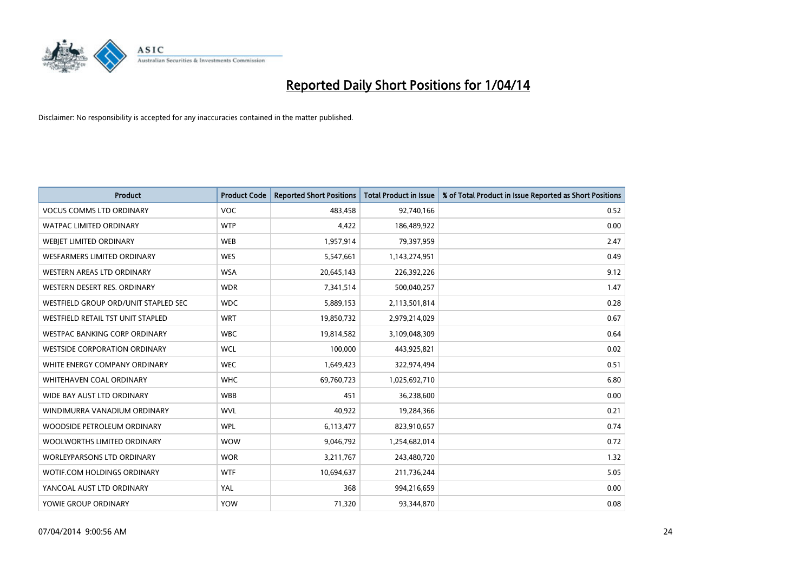

| <b>Product</b>                           | <b>Product Code</b> | <b>Reported Short Positions</b> | <b>Total Product in Issue</b> | % of Total Product in Issue Reported as Short Positions |
|------------------------------------------|---------------------|---------------------------------|-------------------------------|---------------------------------------------------------|
| <b>VOCUS COMMS LTD ORDINARY</b>          | <b>VOC</b>          | 483,458                         | 92,740,166                    | 0.52                                                    |
| WATPAC LIMITED ORDINARY                  | <b>WTP</b>          | 4,422                           | 186,489,922                   | 0.00                                                    |
| WEBIET LIMITED ORDINARY                  | <b>WEB</b>          | 1,957,914                       | 79,397,959                    | 2.47                                                    |
| <b>WESFARMERS LIMITED ORDINARY</b>       | <b>WES</b>          | 5,547,661                       | 1,143,274,951                 | 0.49                                                    |
| WESTERN AREAS LTD ORDINARY               | <b>WSA</b>          | 20,645,143                      | 226,392,226                   | 9.12                                                    |
| WESTERN DESERT RES. ORDINARY             | <b>WDR</b>          | 7,341,514                       | 500,040,257                   | 1.47                                                    |
| WESTFIELD GROUP ORD/UNIT STAPLED SEC     | <b>WDC</b>          | 5,889,153                       | 2,113,501,814                 | 0.28                                                    |
| <b>WESTFIELD RETAIL TST UNIT STAPLED</b> | <b>WRT</b>          | 19,850,732                      | 2,979,214,029                 | 0.67                                                    |
| <b>WESTPAC BANKING CORP ORDINARY</b>     | <b>WBC</b>          | 19,814,582                      | 3,109,048,309                 | 0.64                                                    |
| <b>WESTSIDE CORPORATION ORDINARY</b>     | <b>WCL</b>          | 100,000                         | 443,925,821                   | 0.02                                                    |
| WHITE ENERGY COMPANY ORDINARY            | <b>WEC</b>          | 1,649,423                       | 322,974,494                   | 0.51                                                    |
| WHITEHAVEN COAL ORDINARY                 | <b>WHC</b>          | 69,760,723                      | 1,025,692,710                 | 6.80                                                    |
| WIDE BAY AUST LTD ORDINARY               | <b>WBB</b>          | 451                             | 36,238,600                    | 0.00                                                    |
| WINDIMURRA VANADIUM ORDINARY             | <b>WVL</b>          | 40,922                          | 19,284,366                    | 0.21                                                    |
| WOODSIDE PETROLEUM ORDINARY              | <b>WPL</b>          | 6,113,477                       | 823,910,657                   | 0.74                                                    |
| WOOLWORTHS LIMITED ORDINARY              | <b>WOW</b>          | 9,046,792                       | 1,254,682,014                 | 0.72                                                    |
| WORLEYPARSONS LTD ORDINARY               | <b>WOR</b>          | 3,211,767                       | 243,480,720                   | 1.32                                                    |
| WOTIF.COM HOLDINGS ORDINARY              | <b>WTF</b>          | 10,694,637                      | 211,736,244                   | 5.05                                                    |
| YANCOAL AUST LTD ORDINARY                | YAL                 | 368                             | 994,216,659                   | 0.00                                                    |
| YOWIE GROUP ORDINARY                     | <b>YOW</b>          | 71,320                          | 93,344,870                    | 0.08                                                    |